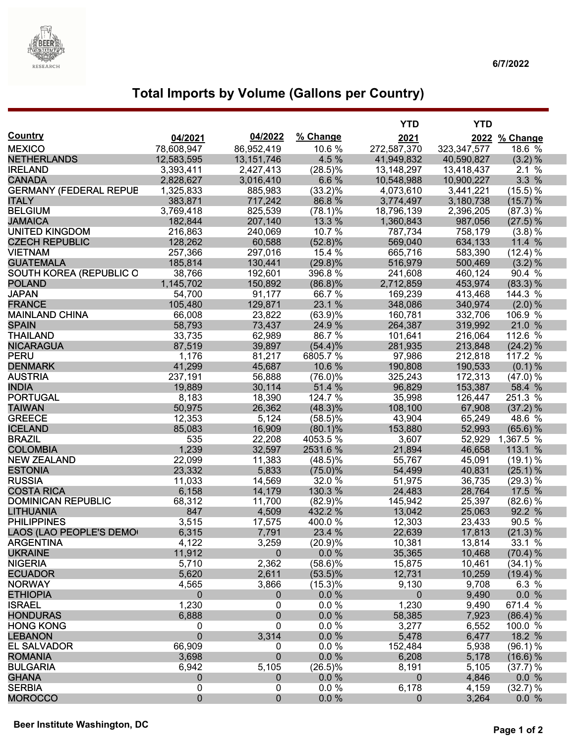

# **Total Imports by Volume (Gallons per Country)**

|                                        |                  |                 |                   | <b>YTD</b>        | <b>YTD</b>       |                  |
|----------------------------------------|------------------|-----------------|-------------------|-------------------|------------------|------------------|
| <b>Country</b>                         | 04/2021          | 04/2022         | % Change          | 2021              |                  | 2022 % Change    |
| <b>MEXICO</b>                          | 78,608,947       | 86,952,419      | 10.6%             | 272,587,370       | 323, 347, 577    | 18.6 %           |
| <b>NETHERLANDS</b>                     | 12,583,595       | 13, 151, 746    | 4.5 %             | 41,949,832        | 40,590,827       | (3.2) %          |
| <b>IRELAND</b>                         | 3,393,411        | 2,427,413       | $(28.5)\%$        | 13,148,297        | 13,418,437       | 2.1%             |
| <b>CANADA</b>                          | 2,828,627        | 3,016,410       | 6.6%              | 10,548,988        | 10,900,227       | 3.3 %            |
| <b>GERMANY (FEDERAL REPUB</b>          | 1,325,833        | 885,983         | $(33.2)\%$        | 4,073,610         | 3,441,221        | (15.5) %         |
| <b>ITALY</b>                           | 383,871          | 717,242         | 86.8%             | 3,774,497         | 3,180,738        | (15.7) %         |
| <b>BELGIUM</b>                         | 3,769,418        | 825,539         | $(78.1)\%$        | 18,796,139        | 2,396,205        | (87.3) %         |
| <b>JAMAICA</b>                         | 182,844          | 207,140         | 13.3 %            | 1,360,843         | 987,056          | (27.5) %         |
| <b>UNITED KINGDOM</b>                  | 216,863          | 240,069         | 10.7 %            | 787,734           | 758,179          | $(3.8)$ %        |
| <b>CZECH REPUBLIC</b>                  | 128,262          | 60,588          | $(52.8)\%$        | 569,040           | 634,133          | 11.4 %           |
| <b>VIETNAM</b>                         | 257,366          | 297,016         | 15.4 %            | 665,716           | 583,390          | (12.4) %         |
| <b>GUATEMALA</b>                       | 185,814          | 130,441         | $(29.8)\%$        | 516,979           | 500,469          | (3.2) %          |
| SOUTH KOREA (REPUBLIC O                | 38,766           | 192,601         | 396.8%            | 241,608           | 460,124          | 90.4 %           |
| <b>POLAND</b>                          | 1,145,702        | 150,892         | $(86.8)\%$        | 2,712,859         | 453,974          | (83.3) %         |
| <b>JAPAN</b>                           | 54,700           | 91,177          | 66.7%             | 169,239           | 413,468          | 144.3 %          |
| <b>FRANCE</b>                          | 105,480          | 129,871         | 23.1 %            | 348,086           | 340,974          | $(2.0) \%$       |
| <b>MAINLAND CHINA</b>                  | 66,008           | 23,822          | (63.9)%           | 160,781           | 332,706          | 106.9 %          |
| <b>SPAIN</b>                           | 58,793           | 73,437          | 24.9 %            | 264,387           | 319,992          | 21.0 %           |
| <b>THAILAND</b>                        | 33,735           | 62,989          | 86.7%             | 101,641           | 216,064          | 112.6 %          |
| <b>NICARAGUA</b>                       | 87,519           | 39,897          | (54.4)%           | 281,935           | 213,848          | $(24.2)\%$       |
| <b>PERU</b>                            | 1,176            | 81,217          | 6805.7%           | 97,986            | 212,818          | 117.2 %          |
| <b>DENMARK</b>                         | 41,299           | 45,687          | 10.6 %            | 190,808           | 190,533          | $(0.1)$ %        |
| <b>AUSTRIA</b>                         | 237,191          | 56,888          | $(76.0)\%$        | 325,243           | 172,313          | (47.0) %         |
| <b>INDIA</b>                           | 19,889           | 30,114          | 51.4 %            | 96,829            | 153,387          | 58.4 %           |
| <b>PORTUGAL</b>                        | 8,183            | 18,390          | 124.7 %           | 35,998            | 126,447          | 251.3 %          |
| <b>TAIWAN</b>                          | 50,975           | 26,362          | $(48.3)\%$        | 108,100           | 67,908           | (37.2) %         |
| <b>GREECE</b>                          | 12,353           | 5,124           | $(58.5)\%$        | 43,904            | 65,249           | 48.6 %           |
| <b>ICELAND</b>                         | 85,083           | 16,909          | $(80.1)\%$        | 153,880           | 52,993           | $(65.6)$ %       |
| <b>BRAZIL</b>                          | 535              | 22,208          | 4053.5%           | 3,607             | 52,929           | 1,367.5 %        |
| <b>COLOMBIA</b>                        | 1,239            | 32,597          | 2531.6%           | 21,894            | 46,658           | 113.1 %          |
| <b>NEW ZEALAND</b>                     | 22,099           | 11,383          | $(48.5)\%$        | 55,767            | 45,091           | (19.1) %         |
| <b>ESTONIA</b>                         | 23,332           | 5,833           | (75.0)%           | 54,499            | 40,831           | $(25.1)$ %       |
| <b>RUSSIA</b>                          | 11,033           | 14,569          | 32.0 %            | 51,975            | 36,735           | $(29.3)\%$       |
| <b>COSTA RICA</b>                      | 6,158            | 14,179          | 130.3%            | 24,483            | 28,764           | 17.5 %           |
| <b>DOMINICAN REPUBLIC</b>              | 68,312           | 11,700          | (82.9)%           | 145,942<br>13,042 | 25,397           | (82.6) %         |
| <b>LITHUANIA</b><br><b>PHILIPPINES</b> | 847              | 4,509           | 432.2 %<br>400.0% |                   | 25,063           | 92.2 %<br>90.5 % |
| LAOS (LAO PEOPLE'S DEMO                | 3,515<br>6,315   | 17,575<br>7,791 | 23.4 %            | 12,303<br>22,639  | 23,433<br>17,813 | (21.3) %         |
| <b>ARGENTINA</b>                       | 4,122            | 3,259           | (20.9)%           | 10,381            | 13,814           | 33.1 %           |
| <b>UKRAINE</b>                         | 11,912           | $\mathbf 0$     | $0.0 \%$          | 35,365            | 10,468           | (70.4) %         |
| <b>NIGERIA</b>                         | 5,710            | 2,362           | $(58.6)\%$        | 15,875            | 10,461           | (34.1) %         |
| <b>ECUADOR</b>                         | 5,620            | 2,611           | $(53.5)\%$        | 12,731            | 10,259           | (19.4) %         |
| <b>NORWAY</b>                          | 4,565            | 3,866           | (15.3)%           | 9,130             | 9,708            | 6.3 %            |
| <b>ETHIOPIA</b>                        | $\mathbf 0$      | $\mathbf 0$     | 0.0%              | $\mathbf 0$       | 9,490            | 0.0 %            |
| <b>ISRAEL</b>                          | 1,230            | 0               | $0.0 \%$          | 1,230             | 9,490            | 671.4 %          |
| <b>HONDURAS</b>                        | 6,888            | $\pmb{0}$       | $0.0 \%$          | 58,385            | 7,923            | (86.4) %         |
| <b>HONG KONG</b>                       | 0                | 0               | $0.0 \%$          | 3,277             | 6,552            | 100.0 %          |
| <b>LEBANON</b>                         | $\mathbf 0$      | 3,314           | $0.0 \%$          | 5,478             | 6,477            | 18.2 %           |
| <b>EL SALVADOR</b>                     | 66,909           | 0               | 0.0 %             | 152,484           | 5,938            | (96.1) %         |
| <b>ROMANIA</b>                         | 3,698            | $\pmb{0}$       | $0.0 \%$          | 6,208             | 5,178            | (16.6) %         |
| <b>BULGARIA</b>                        | 6,942            | 5,105           | $(26.5)\%$        | 8,191             | 5,105            | (37.7) %         |
| <b>GHANA</b>                           | $\boldsymbol{0}$ | $\mathbf 0$     | $0.0 \%$          | $\mathbf{0}$      | 4,846            | 0.0 %            |
| <b>SERBIA</b>                          | 0                | 0               | $0.0 \%$          | 6,178             | 4,159            | (32.7) %         |
| <b>MOROCCO</b>                         | $\mathbf{0}$     | $\pmb{0}$       | $0.0 \%$          | $\overline{0}$    | 3,264            | 0.0 %            |
|                                        |                  |                 |                   |                   |                  |                  |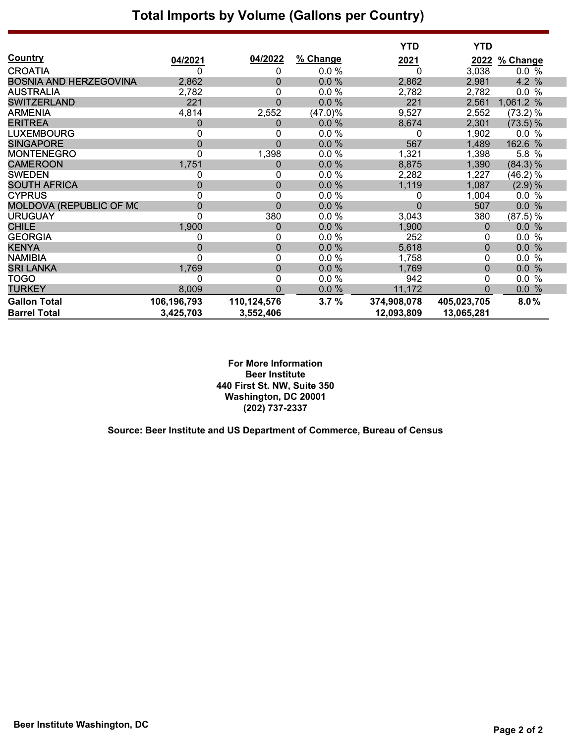## **Total Imports by Volume (Gallons per Country)**

|                               |                |                  |            | <b>YTD</b>  | <b>YTD</b>  |            |
|-------------------------------|----------------|------------------|------------|-------------|-------------|------------|
| <b>Country</b>                | 04/2021        | 04/2022          | % Change   | <u>2021</u> | 2022        | % Change   |
| <b>CROATIA</b>                | 0              | 0                | 0.0%       | 0           | 3,038       | 0.0 %      |
| <b>BOSNIA AND HERZEGOVINA</b> | 2,862          | $\boldsymbol{0}$ | 0.0%       | 2,862       | 2,981       | 4.2 %      |
| <b>AUSTRALIA</b>              | 2,782          | $\pmb{0}$        | 0.0%       | 2,782       | 2,782       | 0.0 %      |
| <b>SWITZERLAND</b>            | 221            | $\mathbf 0$      | 0.0%       | 221         | 2,561       | 1,061.2 %  |
| <b>ARMENIA</b>                | 4,814          | 2,552            | $(47.0)\%$ | 9,527       | 2,552       | $(73.2)$ % |
| <b>ERITREA</b>                | 0              | 0                | 0.0%       | 8,674       | 2,301       | $(73.5)$ % |
| <b>LUXEMBOURG</b>             | 0              | 0                | 0.0%       | 0           | 1,902       | 0.0 %      |
| <b>SINGAPORE</b>              | $\overline{0}$ | $\mathbf 0$      | 0.0%       | 567         | 1,489       | 162.6 %    |
| <b>MONTENEGRO</b>             | 0              | 1,398            | 0.0%       | 1,321       | 1,398       | 5.8 %      |
| <b>CAMEROON</b>               | 1,751          | 0                | 0.0%       | 8,875       | 1,390       | (84.3) %   |
| <b>SWEDEN</b>                 | 0              | 0                | 0.0%       | 2,282       | 1,227       | (46.2) %   |
| <b>SOUTH AFRICA</b>           | $\mathbf 0$    | $\pmb{0}$        | 0.0%       | 1,119       | 1,087       | $(2.9)$ %  |
| <b>CYPRUS</b>                 | 0              | 0                | $0.0 \%$   | 0           | 1,004       | 0.0 %      |
| MOLDOVA (REPUBLIC OF MC       | $\mathbf 0$    | $\mathbf 0$      | 0.0%       | 0           | 507         | 0.0 %      |
| <b>URUGUAY</b>                | $\mathbf 0$    | 380              | $0.0 \%$   | 3,043       | 380         | $(87.5)$ % |
| <b>CHILE</b>                  | 1,900          | $\boldsymbol{0}$ | 0.0%       | 1,900       | 0           | 0.0%       |
| <b>GEORGIA</b>                | 0              | 0                | 0.0%       | 252         | 0           | 0.0 %      |
| <b>KENYA</b>                  | $\mathbf{0}$   | $\mathbf 0$      | 0.0%       | 5,618       | $\pmb{0}$   | 0.0%       |
| <b>NAMIBIA</b>                | 0              | 0                | 0.0%       | 1,758       | 0           | $0.0\%$    |
| <b>SRI LANKA</b>              | 1,769          | $\boldsymbol{0}$ | 0.0%       | 1,769       | $\pmb{0}$   | 0.0 %      |
| <b>TOGO</b>                   | 0              | 0                | 0.0%       | 942         | 0           | $0.0\%$    |
| <b>TURKEY</b>                 | 8,009          | $\mathbf 0$      | 0.0%       | 11,172      | 0           | 0.0 %      |
| <b>Gallon Total</b>           | 106,196,793    | 110,124,576      | 3.7%       | 374,908,078 | 405,023,705 | 8.0%       |
| <b>Barrel Total</b>           | 3,425,703      | 3,552,406        |            | 12,093,809  | 13,065,281  |            |

**For More Information Beer Institute 440 First St. NW, Suite 350 Washington, DC 20001 (202) 737-2337**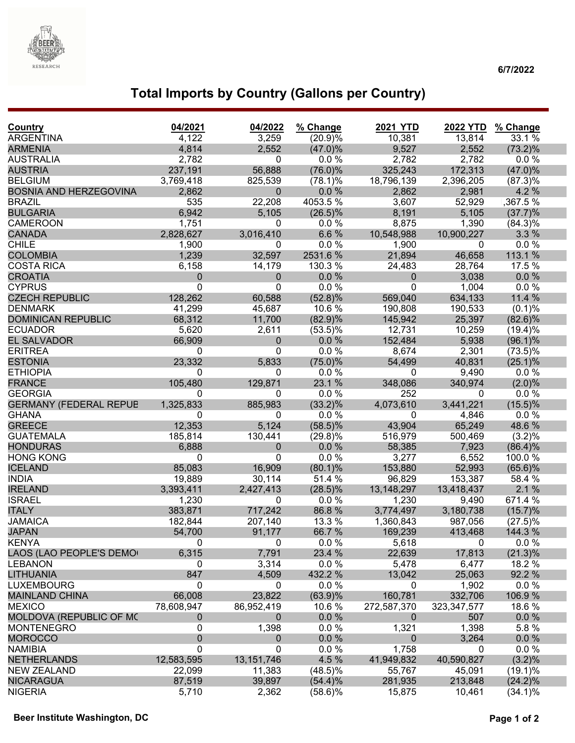

### **6/7/2022**

# **Total Imports by Country (Gallons per Country)**

| Country                       | 04/2021          | 04/2022      | % Change   | <b>2021 YTD</b>  | <b>2022 YTD</b> | % Change   |
|-------------------------------|------------------|--------------|------------|------------------|-----------------|------------|
| <b>ARGENTINA</b>              | 4,122            | 3,259        | (20.9)%    | 10,381           | 13,814          | 33.1 %     |
| <b>ARMENIA</b>                | 4,814            | 2,552        | $(47.0)\%$ | 9,527            | 2,552           | $(73.2)\%$ |
| <b>AUSTRALIA</b>              | 2,782            | 0            | 0.0%       | 2,782            | 2,782           | 0.0%       |
| <b>AUSTRIA</b>                | 237,191          | 56,888       | $(76.0)\%$ | 325,243          | 172,313         | $(47.0)\%$ |
| <b>BELGIUM</b>                | 3,769,418        | 825,539      | $(78.1)\%$ | 18,796,139       | 2,396,205       | (87.3)%    |
| <b>BOSNIA AND HERZEGOVINA</b> | 2,862            | $\pmb{0}$    | 0.0%       | 2,862            | 2,981           | 4.2 %      |
| <b>BRAZIL</b>                 | 535              | 22,208       | 4053.5%    | 3,607            | 52,929          | ,367.5 %   |
| <b>BULGARIA</b>               | 6,942            | 5,105        | $(26.5)\%$ | 8,191            | 5,105           | (37.7)%    |
| <b>CAMEROON</b>               | 1,751            | 0            | 0.0%       | 8,875            | 1,390           | $(84.3)\%$ |
| <b>CANADA</b>                 | 2,828,627        | 3,016,410    | 6.6%       | 10,548,988       | 10,900,227      | 3.3%       |
| <b>CHILE</b>                  | 1,900            | 0            | 0.0 %      | 1,900            | 0               | 0.0%       |
| <b>COLOMBIA</b>               | 1,239            | 32,597       | 2531.6%    | 21,894           | 46,658          | 113.1 %    |
| <b>COSTA RICA</b>             | 6,158            | 14,179       | 130.3 %    | 24,483           | 28,764          | 17.5 %     |
| <b>CROATIA</b>                | $\mathbf 0$      | 0            | 0.0%       | $\boldsymbol{0}$ | 3,038           | 0.0%       |
| <b>CYPRUS</b>                 | $\mathbf 0$      | $\pmb{0}$    | 0.0 %      | 0                | 1,004           | $0.0 \%$   |
| <b>CZECH REPUBLIC</b>         | 128,262          | 60,588       | $(52.8)\%$ | 569,040          | 634,133         | 11.4 %     |
| <b>DENMARK</b>                | 41,299           | 45,687       | 10.6%      | 190,808          | 190,533         | (0.1)%     |
| <b>DOMINICAN REPUBLIC</b>     | 68,312           | 11,700       | (82.9)%    | 145,942          | 25,397          | $(82.6)\%$ |
| <b>ECUADOR</b>                | 5,620            | 2,611        | $(53.5)\%$ | 12,731           | 10,259          | (19.4)%    |
| <b>EL SALVADOR</b>            | 66,909           | 0            | 0.0%       | 152,484          | 5,938           | $(96.1)\%$ |
| <b>ERITREA</b>                | 0                | 0            | 0.0%       | 8,674            | 2,301           | $(73.5)\%$ |
| <b>ESTONIA</b>                | 23,332           | 5,833        | $(75.0)\%$ | 54,499           | 40,831          | $(25.1)\%$ |
| <b>ETHIOPIA</b>               | 0                | 0            | 0.0 %      | 0                | 9,490           | $0.0 \%$   |
| <b>FRANCE</b>                 | 105,480          | 129,871      | 23.1 %     | 348,086          | 340,974         | (2.0)%     |
| <b>GEORGIA</b>                | $\mathbf{0}$     | 0            | 0.0 %      | 252              | $\mathbf 0$     | $0.0 \%$   |
| <b>GERMANY (FEDERAL REPUE</b> | 1,325,833        | 885,983      | $(33.2)\%$ | 4,073,610        | 3,441,221       | $(15.5)\%$ |
| <b>GHANA</b>                  | 0                | 0            | 0.0%       | 0                | 4,846           | 0.0%       |
| <b>GREECE</b>                 | 12,353           | 5,124        | $(58.5)\%$ | 43,904           | 65,249          | 48.6%      |
| <b>GUATEMALA</b>              | 185,814          | 130,441      | (29.8)%    | 516,979          | 500,469         | $(3.2)\%$  |
| <b>HONDURAS</b>               | 6,888            | $\mathbf 0$  | 0.0%       | 58,385           | 7,923           | (86.4)%    |
| <b>HONG KONG</b>              | 0                | 0            | 0.0%       | 3,277            | 6,552           | 100.0%     |
| <b>ICELAND</b>                | 85,083           | 16,909       | $(80.1)\%$ | 153,880          | 52,993          | $(65.6)\%$ |
| <b>INDIA</b>                  | 19,889           | 30,114       | 51.4 %     | 96,829           | 153,387         | 58.4 %     |
| <b>IRELAND</b>                | 3,393,411        | 2,427,413    | $(28.5)\%$ | 13,148,297       | 13,418,437      | 2.1%       |
| <b>ISRAEL</b>                 | 1,230            | 0            | 0.0%       | 1,230            | 9,490           | 671.4 %    |
| <b>ITALY</b>                  | 383,871          | 717,242      | 86.8%      | 3,774,497        | 3,180,738       | (15.7)%    |
| <b>JAMAICA</b>                | 182,844          | 207,140      | 13.3 %     | 1,360,843        | 987,056         | $(27.5)\%$ |
| <b>JAPAN</b>                  | 54,700           | 91,177       | 66.7 %     | 169,239          | 413,468         | 144.3 %    |
| <b>KENYA</b>                  | 0                | 0            | 0.0%       | 5,618            | $\mathbf 0$     | 0.0%       |
| LAOS (LAO PEOPLE'S DEMO       | 6,315            | 7,791        | 23.4 %     | 22,639           | 17,813          | (21.3)%    |
| <b>LEBANON</b>                | 0                | 3,314        | 0.0%       | 5,478            | 6,477           | 18.2 %     |
| <b>LITHUANIA</b>              | 847              | 4,509        | 432.2 %    | 13,042           | 25,063          | 92.2 %     |
| <b>LUXEMBOURG</b>             | $\mathbf 0$      | 0            | 0.0%       | $\mathbf 0$      | 1,902           | $0.0 \%$   |
| <b>MAINLAND CHINA</b>         | 66,008           | 23,822       | (63.9)%    | 160,781          | 332,706         | 106.9%     |
| <b>MEXICO</b>                 | 78,608,947       | 86,952,419   | 10.6 %     | 272,587,370      | 323, 347, 577   | 18.6 %     |
| MOLDOVA (REPUBLIC OF MC       | $\boldsymbol{0}$ | 0            | 0.0%       | $\mathbf{0}$     | 507             | 0.0%       |
| <b>MONTENEGRO</b>             | $\pmb{0}$        | 1,398        | 0.0%       | 1,321            | 1,398           | 5.8%       |
| <b>MOROCCO</b>                | $\pmb{0}$        | 0            | 0.0%       | $\Omega$         | 3,264           | 0.0%       |
| <b>NAMIBIA</b>                | 0                | 0            | 0.0 %      | 1,758            | 0               | 0.0 %      |
| <b>NETHERLANDS</b>            | 12,583,595       | 13, 151, 746 | 4.5 %      | 41,949,832       | 40,590,827      | $(3.2)\%$  |
| <b>NEW ZEALAND</b>            | 22,099           | 11,383       | $(48.5)\%$ | 55,767           | 45,091          | $(19.1)\%$ |
| <b>NICARAGUA</b>              | 87,519           | 39,897       | $(54.4)\%$ | 281,935          | 213,848         | $(24.2)\%$ |
| <b>NIGERIA</b>                | 5,710            | 2,362        | $(58.6)\%$ | 15,875           | 10,461          | $(34.1)\%$ |
|                               |                  |              |            |                  |                 |            |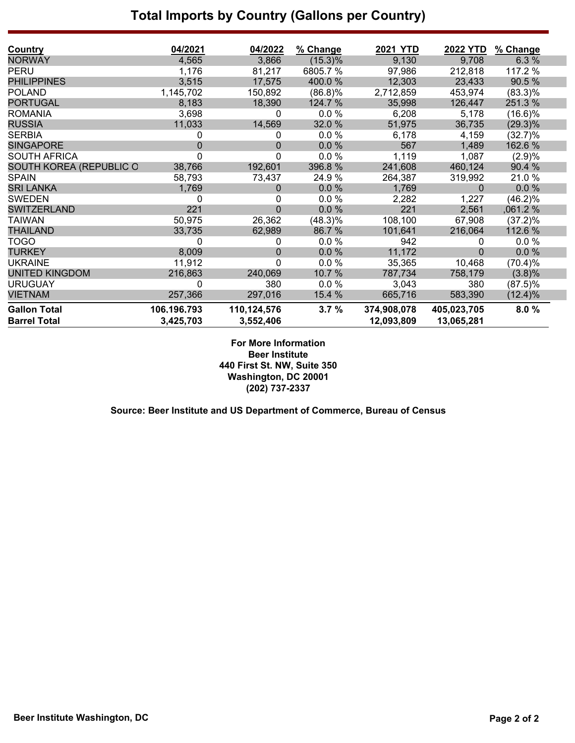## **Total Imports by Country (Gallons per Country)**

| Country                                    | 04/2021                  | 04/2022                  | % Change   | <b>2021 YTD</b>           | <b>2022 YTD</b>           | % Change   |
|--------------------------------------------|--------------------------|--------------------------|------------|---------------------------|---------------------------|------------|
| <b>NORWAY</b>                              | 4,565                    | 3,866                    | (15.3)%    | 9,130                     | 9,708                     | 6.3%       |
| PERU                                       | 1,176                    | 81,217                   | 6805.7 %   | 97,986                    | 212,818                   | 117.2 %    |
| <b>PHILIPPINES</b>                         | 3,515                    | 17,575                   | 400.0%     | 12,303                    | 23,433                    | 90.5 %     |
| <b>POLAND</b>                              | 1,145,702                | 150,892                  | (86.8)%    | 2,712,859                 | 453,974                   | $(83.3)\%$ |
| <b>PORTUGAL</b>                            | 8,183                    | 18,390                   | 124.7 %    | 35,998                    | 126,447                   | 251.3%     |
| <b>ROMANIA</b>                             | 3,698                    | 0                        | 0.0 %      | 6,208                     | 5,178                     | (16.6)%    |
| <b>RUSSIA</b>                              | 11,033                   | 14,569                   | 32.0 %     | 51,975                    | 36,735                    | $(29.3)\%$ |
| <b>SERBIA</b>                              | 0                        | 0                        | $0.0 \%$   | 6,178                     | 4,159                     | (32.7)%    |
| <b>SINGAPORE</b>                           | 0                        | 0                        | 0.0%       | 567                       | 1,489                     | 162.6 %    |
| <b>SOUTH AFRICA</b>                        | 0                        | 0                        | 0.0 %      | 1,119                     | 1,087                     | (2.9)%     |
| SOUTH KOREA (REPUBLIC O                    | 38,766                   | 192,601                  | 396.8%     | 241,608                   | 460,124                   | 90.4 %     |
| <b>SPAIN</b>                               | 58,793                   | 73,437                   | 24.9 %     | 264,387                   | 319,992                   | 21.0%      |
| <b>SRI LANKA</b>                           | 1,769                    | 0                        | $0.0 \%$   | 1,769                     | $\Omega$                  | 0.0%       |
| <b>SWEDEN</b>                              | 0                        | 0                        | $0.0 \%$   | 2,282                     | 1,227                     | (46.2)%    |
| <b>SWITZERLAND</b>                         | 221                      | $\overline{0}$           | 0.0%       | 221                       | 2,561                     | ,061.2 %   |
| TAIWAN                                     | 50,975                   | 26,362                   | $(48.3)\%$ | 108,100                   | 67,908                    | $(37.2)\%$ |
| <b>THAILAND</b>                            | 33,735                   | 62,989                   | 86.7%      | 101,641                   | 216,064                   | 112.6 %    |
| <b>TOGO</b>                                | 0                        | 0                        | $0.0 \%$   | 942                       | 0                         | 0.0%       |
| <b>TURKEY</b>                              | 8,009                    | 0                        | $0.0 \%$   | 11,172                    | $\mathbf 0$               | 0.0%       |
| <b>UKRAINE</b>                             | 11,912                   | 0                        | 0.0%       | 35,365                    | 10,468                    | (70.4)%    |
| <b>UNITED KINGDOM</b>                      | 216,863                  | 240,069                  | 10.7 %     | 787,734                   | 758,179                   | (3.8)%     |
| <b>URUGUAY</b>                             | 0                        | 380                      | 0.0%       | 3,043                     | 380                       | $(87.5)\%$ |
| <b>VIETNAM</b>                             | 257,366                  | 297,016                  | 15.4 %     | 665,716                   | 583,390                   | (12.4)%    |
| <b>Gallon Total</b><br><b>Barrel Total</b> | 106.196.793<br>3,425,703 | 110,124,576<br>3,552,406 | 3.7%       | 374,908,078<br>12,093,809 | 405,023,705<br>13,065,281 | 8.0%       |

**For More Information Beer Institute 440 First St. NW, Suite 350 Washington, DC 20001 (202) 737-2337**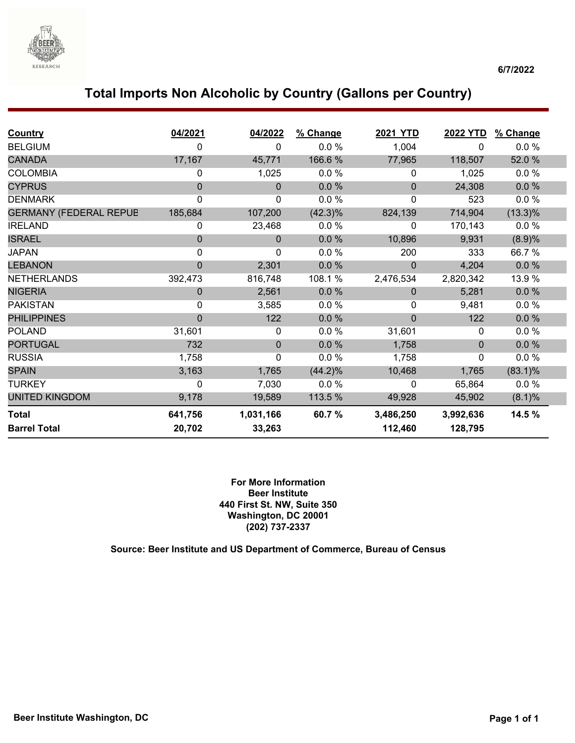

## **Total Imports Non Alcoholic by Country (Gallons per Country)**

| <b>Country</b>                | 04/2021      | 04/2022      | % Change   | <b>2021 YTD</b> | 2022 YTD  | % Change   |  |
|-------------------------------|--------------|--------------|------------|-----------------|-----------|------------|--|
| <b>BELGIUM</b>                | $\Omega$     | 0            | 0.0%       | 1,004           | 0         | 0.0%       |  |
| <b>CANADA</b>                 | 17,167       | 45,771       | 166.6%     | 77,965          | 118,507   | 52.0 %     |  |
| <b>COLOMBIA</b>               | 0            | 1,025        | 0.0%       | 0               | 1,025     | 0.0%       |  |
| <b>CYPRUS</b>                 | $\Omega$     | $\mathbf{0}$ | 0.0 %      | 0               | 24,308    | $0.0 \%$   |  |
| <b>DENMARK</b>                | $\mathbf 0$  | $\mathbf 0$  | 0.0%       | 0               | 523       | 0.0%       |  |
| <b>GERMANY (FEDERAL REPUB</b> | 185,684      | 107,200      | $(42.3)\%$ | 824,139         | 714,904   | $(13.3)\%$ |  |
| <b>IRELAND</b>                | 0            | 23,468       | 0.0%       | 0               | 170,143   | $0.0 \%$   |  |
| <b>ISRAEL</b>                 | $\mathbf{0}$ | $\mathbf{0}$ | 0.0%       | 10,896          | 9,931     | (8.9)%     |  |
| <b>JAPAN</b>                  | $\mathbf{0}$ | 0            | 0.0%       | 200             | 333       | 66.7%      |  |
| <b>LEBANON</b>                | $\Omega$     | 2,301        | 0.0%       | $\Omega$        | 4,204     | 0.0%       |  |
| <b>NETHERLANDS</b>            | 392,473      | 816,748      | 108.1 %    | 2,476,534       | 2,820,342 | 13.9 %     |  |
| <b>NIGERIA</b>                | $\Omega$     | 2,561        | 0.0%       | $\Omega$        | 5,281     | 0.0%       |  |
| <b>PAKISTAN</b>               | 0            | 3,585        | 0.0%       | 0               | 9,481     | $0.0 \%$   |  |
| <b>PHILIPPINES</b>            | $\Omega$     | 122          | 0.0 %      | $\overline{0}$  | 122       | 0.0 %      |  |
| <b>POLAND</b>                 | 31,601       | 0            | 0.0%       | 31,601          | 0         | 0.0%       |  |
| <b>PORTUGAL</b>               | 732          | $\pmb{0}$    | 0.0 %      | 1,758           | $\Omega$  | 0.0 %      |  |
| <b>RUSSIA</b>                 | 1,758        | 0            | 0.0%       | 1,758           | 0         | $0.0 \%$   |  |
| <b>SPAIN</b>                  | 3,163        | 1,765        | $(44.2)\%$ | 10,468          | 1,765     | $(83.1)\%$ |  |
| <b>TURKEY</b>                 | 0            | 7,030        | 0.0%       | 0               | 65,864    | $0.0 \%$   |  |
| <b>UNITED KINGDOM</b>         | 9,178        | 19,589       | 113.5 %    | 49,928          | 45,902    | (8.1)%     |  |
| <b>Total</b>                  | 641,756      | 1,031,166    | 60.7 %     | 3,486,250       | 3,992,636 | 14.5 %     |  |
| <b>Barrel Total</b>           | 20,702       | 33,263       |            | 112,460         | 128,795   |            |  |

**For More Information Beer Institute 440 First St. NW, Suite 350 Washington, DC 20001 (202) 737-2337**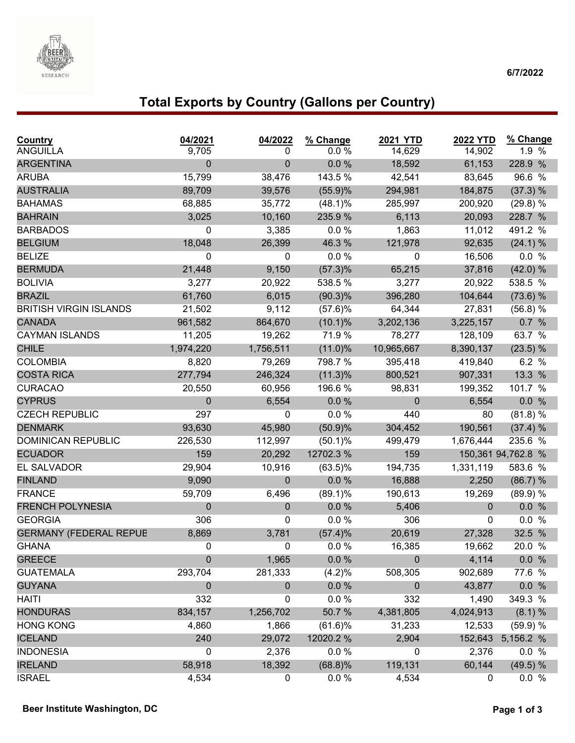

#### **6/7/2022**

# **Total Exports by Country (Gallons per Country)**

| Country<br><b>ANGUILLA</b>              | 04/2021<br>9,705  | 04/2022<br>0     | % Change<br>0.0 % | 2021 YTD<br>14,629 | <b>2022 YTD</b><br>14,902 | % Change<br>1.9 %  |
|-----------------------------------------|-------------------|------------------|-------------------|--------------------|---------------------------|--------------------|
| <b>ARGENTINA</b>                        | $\mathbf 0$       | 0                | 0.0 %             | 18,592             | 61,153                    | 228.9 %            |
| <b>ARUBA</b>                            | 15,799            | 38,476           | 143.5 %           | 42,541             | 83,645                    | 96.6 %             |
| <b>AUSTRALIA</b>                        | 89,709            | 39,576           | (55.9)%           | 294,981            | 184,875                   | (37.3) %           |
| <b>BAHAMAS</b>                          | 68,885            | 35,772           | $(48.1)\%$        | 285,997            | 200,920                   | (29.8) %           |
| <b>BAHRAIN</b>                          | 3,025             | 10,160           | 235.9%            | 6,113              | 20,093                    | 228.7 %            |
| <b>BARBADOS</b>                         | 0                 | 3,385            | 0.0%              | 1,863              | 11,012                    | 491.2 %            |
| <b>BELGIUM</b>                          | 18,048            | 26,399           | 46.3%             | 121,978            | 92,635                    | (24.1) %           |
| <b>BELIZE</b>                           | 0                 | 0                | $0.0 \%$          | 0                  | 16,506                    | 0.0 %              |
| <b>BERMUDA</b>                          | 21,448            | 9,150            | $(57.3)\%$        | 65,215             | 37,816                    | (42.0) %           |
| <b>BOLIVIA</b>                          | 3,277             | 20,922           | 538.5 %           | 3,277              | 20,922                    | 538.5 %            |
| <b>BRAZIL</b>                           | 61,760            | 6,015            | $(90.3)\%$        | 396,280            | 104,644                   | (73.6) %           |
| <b>BRITISH VIRGIN ISLANDS</b>           | 21,502            | 9,112            | (57.6)%           | 64,344             | 27,831                    | (56.8) %           |
| <b>CANADA</b>                           | 961,582           | 864,670          | $(10.1)\%$        | 3,202,136          | 3,225,157                 | 0.7 %              |
| <b>CAYMAN ISLANDS</b>                   | 11,205            | 19,262           | 71.9%             | 78,277             | 128,109                   | 63.7 %             |
| <b>CHILE</b>                            | 1,974,220         | 1,756,511        | $(11.0)\%$        | 10,965,667         | 8,390,137                 | (23.5) %           |
| <b>COLOMBIA</b>                         | 8,820             | 79,269           | 798.7 %           | 395,418            |                           | 6.2 %              |
| <b>COSTA RICA</b>                       |                   |                  | $(11.3)\%$        |                    | 419,840                   |                    |
| <b>CURACAO</b>                          | 277,794<br>20,550 | 246,324          |                   | 800,521            | 907,331                   | 13.3 %             |
|                                         |                   | 60,956           | 196.6 %<br>0.0 %  | 98,831             | 199,352                   | 101.7 %            |
| <b>CYPRUS</b>                           | 0                 | 6,554            |                   | $\mathbf 0$        | 6,554                     | 0.0 %              |
| <b>CZECH REPUBLIC</b><br><b>DENMARK</b> | 297               | 0                | 0.0 %             | 440                | 80                        | (81.8) %           |
|                                         | 93,630            | 45,980           | (50.9)%           | 304,452            | 190,561                   | (37.4) %           |
| <b>DOMINICAN REPUBLIC</b>               | 226,530           | 112,997          | $(50.1)\%$        | 499,479            | 1,676,444                 | 235.6 %            |
| <b>ECUADOR</b>                          | 159               | 20,292           | 12702.3%          | 159                |                           | 150,361 94,762.8 % |
| EL SALVADOR                             | 29,904            | 10,916           | $(63.5)\%$        | 194,735            | 1,331,119                 | 583.6 %            |
| <b>FINLAND</b>                          | 9,090             | $\mathbf{0}$     | 0.0 %             | 16,888             | 2,250                     | (86.7) %           |
| <b>FRANCE</b>                           | 59,709            | 6,496            | $(89.1)\%$        | 190,613            | 19,269                    | (89.9) %           |
| <b>FRENCH POLYNESIA</b>                 | 0                 | $\mathbf 0$      | $0.0 \%$          | 5,406              | $\Omega$                  | 0.0 %              |
| <b>GEORGIA</b>                          | 306               | 0                | 0.0%              | 306                | 0                         | 0.0 %              |
| <b>GERMANY (FEDERAL REPUE</b>           | 8,869             | 3,781            | (57.4)%           | 20,619             | 27,328                    | 32.5 %             |
| <b>GHANA</b>                            | 0                 | 0                | 0.0%              | 16,385             | 19,662                    | 20.0 %             |
| <b>GREECE</b>                           | $\mathbf 0$       | 1,965            | 0.0 %             | $\pmb{0}$          | 4,114                     | 0.0 %              |
| <b>GUATEMALA</b>                        | 293,704           | 281,333          | (4.2)%            | 508,305            | 902,689                   | 77.6 %             |
| <b>GUYANA</b>                           | $\pmb{0}$         | $\mathbf{0}$     | $0.0 \%$          | $\mathbf 0$        | 43,877                    | 0.0 %              |
| <b>HAITI</b>                            | 332               | 0                | 0.0 %             | 332                | 1,490                     | 349.3 %            |
| <b>HONDURAS</b>                         | 834,157           | 1,256,702        | 50.7 %            | 4,381,805          | 4,024,913                 | (8.1) %            |
| <b>HONG KONG</b>                        | 4,860             | 1,866            | $(61.6)\%$        | 31,233             | 12,533                    | (59.9) %           |
| <b>ICELAND</b>                          | 240               | 29,072           | 12020.2 %         | 2,904              | 152,643                   | 5,156.2 %          |
| <b>INDONESIA</b>                        | 0                 | 2,376            | $0.0 \%$          | 0                  | 2,376                     | 0.0 %              |
| <b>IRELAND</b>                          | 58,918            | 18,392           | (68.8)%           | 119,131            | 60,144                    | (49.5) %           |
| <b>ISRAEL</b>                           | 4,534             | $\boldsymbol{0}$ | $0.0 \%$          | 4,534              | 0                         | 0.0 %              |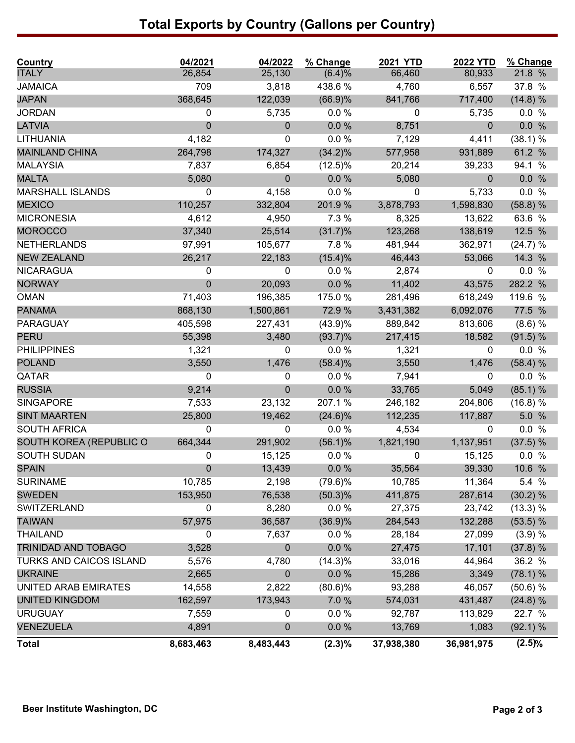# **Total Exports by Country (Gallons per Country)**

| Country                        | 04/2021          | 04/2022      | % Change   | <b>2021 YTD</b> | <b>2022 YTD</b> | % Change |
|--------------------------------|------------------|--------------|------------|-----------------|-----------------|----------|
| <b>ITALY</b>                   | 26,854           | 25,130       | (6.4)%     | 66,460          | 80,933          | 21.8 %   |
| <b>JAMAICA</b>                 | 709              | 3,818        | 438.6%     | 4,760           | 6,557           | 37.8 %   |
| <b>JAPAN</b>                   | 368,645          | 122,039      | (66.9)%    | 841,766         | 717,400         | (14.8) % |
| <b>JORDAN</b>                  | 0                | 5,735        | $0.0 \%$   | 0               | 5,735           | 0.0 %    |
| LATVIA                         | $\mathbf 0$      | $\mathbf{0}$ | 0.0%       | 8,751           | $\mathbf{0}$    | 0.0 %    |
| LITHUANIA                      | 4,182            | 0            | 0.0%       | 7,129           | 4,411           | (38.1) % |
| <b>MAINLAND CHINA</b>          | 264,798          | 174,327      | $(34.2)\%$ | 577,958         | 931,889         | 61.2 %   |
| <b>MALAYSIA</b>                | 7,837            | 6,854        | $(12.5)\%$ | 20,214          | 39,233          | 94.1 %   |
| <b>MALTA</b>                   | 5,080            | $\mathbf{0}$ | $0.0 \%$   | 5,080           | $\mathbf{0}$    | 0.0 %    |
| <b>MARSHALL ISLANDS</b>        | 0                | 4,158        | $0.0 \%$   | 0               | 5,733           | 0.0 %    |
| <b>MEXICO</b>                  | 110,257          | 332,804      | 201.9%     | 3,878,793       | 1,598,830       | (58.8) % |
| <b>MICRONESIA</b>              | 4,612            | 4,950        | 7.3 %      | 8,325           | 13,622          | 63.6 %   |
| <b>MOROCCO</b>                 | 37,340           | 25,514       | $(31.7)\%$ | 123,268         | 138,619         | 12.5 %   |
| <b>NETHERLANDS</b>             | 97,991           | 105,677      | 7.8 %      | 481,944         | 362,971         | (24.7) % |
| <b>NEW ZEALAND</b>             | 26,217           | 22,183       | $(15.4)\%$ | 46,443          | 53,066          | 14.3 %   |
| <b>NICARAGUA</b>               | 0                | 0            | 0.0 %      | 2,874           | $\mathbf 0$     | 0.0 %    |
| <b>NORWAY</b>                  | $\mathbf 0$      | 20,093       | $0.0 \%$   | 11,402          | 43,575          | 282.2 %  |
| <b>OMAN</b>                    | 71,403           | 196,385      | 175.0 %    | 281,496         | 618,249         | 119.6 %  |
| <b>PANAMA</b>                  | 868,130          | 1,500,861    | 72.9 %     | 3,431,382       | 6,092,076       | 77.5 %   |
| <b>PARAGUAY</b>                | 405,598          | 227,431      | (43.9)%    | 889,842         | 813,606         | (8.6) %  |
| <b>PERU</b>                    | 55,398           | 3,480        | $(93.7)\%$ | 217,415         | 18,582          | (91.5) % |
| <b>PHILIPPINES</b>             | 1,321            | 0            | $0.0 \%$   | 1,321           | 0               | 0.0 %    |
| <b>POLAND</b>                  | 3,550            | 1,476        | (58.4)%    | 3,550           | 1,476           | (58.4) % |
| QATAR                          | 0                | 0            | 0.0%       | 7,941           | 0               | 0.0 %    |
| <b>RUSSIA</b>                  | 9,214            | 0            | $0.0 \%$   | 33,765          | 5,049           | (85.1) % |
| <b>SINGAPORE</b>               | 7,533            | 23,132       | 207.1%     | 246,182         | 204,806         | (16.8) % |
| <b>SINT MAARTEN</b>            | 25,800           | 19,462       | $(24.6)\%$ | 112,235         | 117,887         | 5.0 %    |
| <b>SOUTH AFRICA</b>            | 0                | 0            | $0.0 \%$   | 4,534           | $\mathbf 0$     | 0.0 %    |
| SOUTH KOREA (REPUBLIC C        | 664,344          | 291,902      | $(56.1)\%$ | 1,821,190       | 1,137,951       | (37.5) % |
| <b>SOUTH SUDAN</b>             | 0                | 15,125       | $0.0 \%$   | 0               | 15,125          | 0.0 %    |
| <b>SPAIN</b>                   | $\boldsymbol{0}$ | 13,439       | $0.0 \%$   | 35,564          | 39,330          | 10.6 %   |
| <b>SURINAME</b>                | 10,785           | 2,198        | $(79.6)\%$ | 10,785          | 11,364          | 5.4 %    |
| <b>SWEDEN</b>                  | 153,950          | 76,538       | $(50.3)\%$ | 411,875         | 287,614         | (30.2) % |
| <b>SWITZERLAND</b>             | 0                | 8,280        | $0.0 \%$   | 27,375          | 23,742          | (13.3) % |
| <b>TAIWAN</b>                  | 57,975           | 36,587       | (36.9)%    | 284,543         | 132,288         | (53.5) % |
| <b>THAILAND</b>                | 0                | 7,637        | $0.0 \%$   | 28,184          | 27,099          | (3.9) %  |
| TRINIDAD AND TOBAGO            | 3,528            | 0            | 0.0 %      | 27,475          | 17,101          | (37.8) % |
| <b>TURKS AND CAICOS ISLAND</b> | 5,576            | 4,780        | $(14.3)\%$ | 33,016          | 44,964          | 36.2 %   |
| <b>UKRAINE</b>                 | 2,665            | $\mathbf{0}$ | $0.0 \%$   | 15,286          | 3,349           | (78.1) % |
| UNITED ARAB EMIRATES           | 14,558           | 2,822        | $(80.6)\%$ | 93,288          | 46,057          | (50.6) % |
| <b>UNITED KINGDOM</b>          | 162,597          | 173,943      | 7.0 %      | 574,031         | 431,487         | (24.8) % |
| <b>URUGUAY</b>                 | 7,559            | 0            | $0.0 \%$   | 92,787          | 113,829         | 22.7 %   |
| <b>VENEZUELA</b>               | 4,891            | 0            | $0.0 \%$   | 13,769          | 1,083           | (92.1) % |
| <b>Total</b>                   | 8,683,463        | 8,483,443    | $(2.3)\%$  | 37,938,380      | 36,981,975      | (2.5)%   |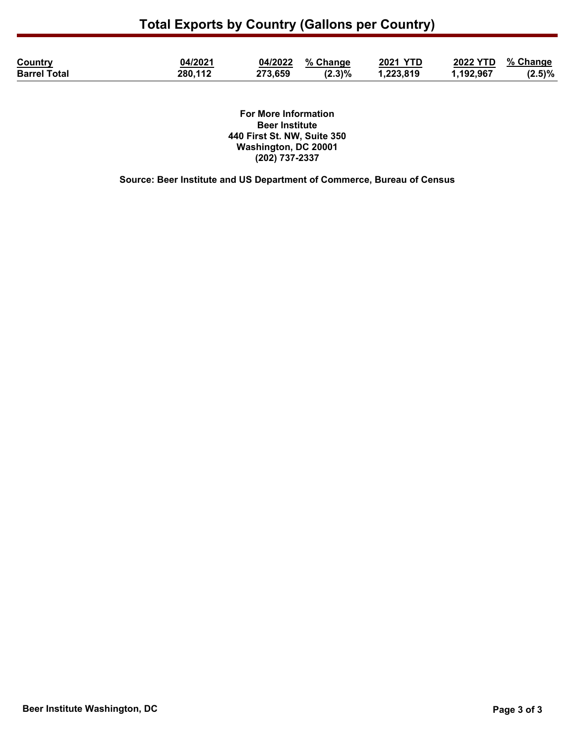| <b>Country</b>      | 04/2021 | 04/2022 % Change |           | <b>2021 YTD</b> | 2022 YTD % Change |           |
|---------------------|---------|------------------|-----------|-----------------|-------------------|-----------|
| <b>Barrel Total</b> | 280,112 | 273,659          | $(2.3)\%$ | 1,223,819       | 1,192,967         | $(2.5)\%$ |

**For More Information Beer Institute 440 First St. NW, Suite 350 Washington, DC 20001 (202) 737-2337**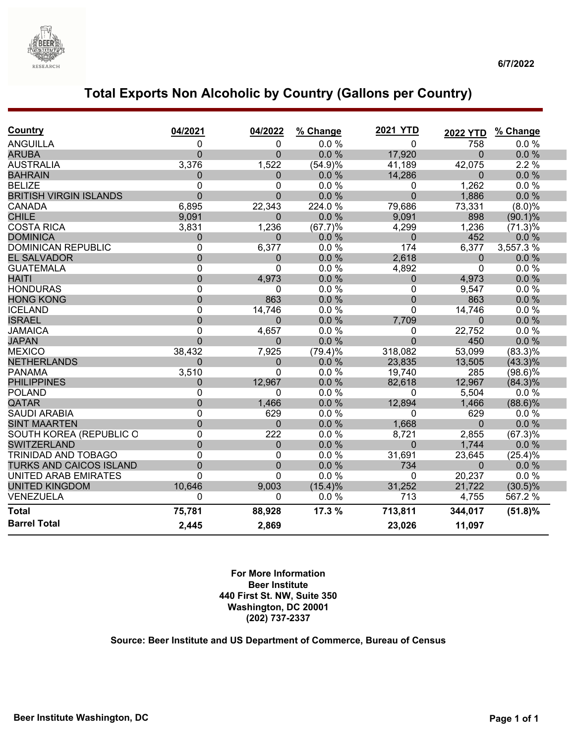

## **Total Exports Non Alcoholic by Country (Gallons per Country)**

| <b>Country</b>                 | 04/2021        | 04/2022        | % Change   | <b>2021 YTD</b>  | <b>2022 YTD</b> | % Change   |
|--------------------------------|----------------|----------------|------------|------------------|-----------------|------------|
| <b>ANGUILLA</b>                | 0              | 0              | 0.0%       | 0                | 758             | 0.0%       |
| <b>ARUBA</b>                   | $\Omega$       | $\overline{0}$ | 0.0%       | 17,920           | $\Omega$        | 0.0 %      |
| <b>AUSTRALIA</b>               | 3,376          | 1,522          | (54.9)%    | 41,189           | 42,075          | 2.2%       |
| <b>BAHRAIN</b>                 | 0              | 0              | 0.0%       | 14,286           | 0               | 0.0%       |
| <b>BELIZE</b>                  | 0              | 0              | 0.0%       | 0                | 1,262           | 0.0 %      |
| <b>BRITISH VIRGIN ISLANDS</b>  | $\overline{0}$ | $\overline{0}$ | 0.0%       | $\overline{0}$   | 1,886           | 0.0%       |
| <b>CANADA</b>                  | 6,895          | 22,343         | 224.0%     | 79,686           | 73,331          | (8.0)%     |
| <b>CHILE</b>                   | 9,091          | $\Omega$       | 0.0%       | 9,091            | 898             | $(90.1)\%$ |
| <b>COSTA RICA</b>              | 3,831          | 1,236          | (67.7)%    | 4,299            | 1,236           | (71.3)%    |
| <b>DOMINICA</b>                | 0              | 0              | 0.0%       | $\Omega$         | 452             | 0.0%       |
| <b>DOMINICAN REPUBLIC</b>      | 0              | 6,377          | 0.0%       | 174              | 6,377           | 3,557.3%   |
| <b>EL SALVADOR</b>             | 0              | 0              | 0.0%       | 2,618            | $\mathbf 0$     | 0.0%       |
| <b>GUATEMALA</b>               | 0              | 0              | 0.0%       | 4,892            | $\mathbf 0$     | 0.0%       |
| <b>HAITI</b>                   | $\overline{0}$ | 4,973          | 0.0%       | $\mathbf 0$      | 4,973           | 0.0%       |
| <b>HONDURAS</b>                | 0              | 0              | 0.0%       | 0                | 9,547           | 0.0%       |
| <b>HONG KONG</b>               | $\overline{0}$ | 863            | 0.0%       | $\boldsymbol{0}$ | 863             | 0.0%       |
| <b>ICELAND</b>                 | 0              | 14,746         | 0.0%       | 0                | 14,746          | 0.0%       |
| <b>ISRAEL</b>                  | $\overline{0}$ | 0              | 0.0%       | 7,709            | $\Omega$        | 0.0%       |
| <b>JAMAICA</b>                 | 0              | 4,657          | 0.0%       | 0                | 22,752          | 0.0%       |
| <b>JAPAN</b>                   | $\Omega$       | 0              | 0.0%       | $\Omega$         | 450             | 0.0%       |
| <b>MEXICO</b>                  | 38,432         | 7,925          | $(79.4)\%$ | 318,082          | 53,099          | $(83.3)\%$ |
| <b>NETHERLANDS</b>             | $\Omega$       | 0              | 0.0%       | 23,835           | 13,505          | $(43.3)\%$ |
| <b>PANAMA</b>                  | 3,510          | 0              | 0.0%       | 19,740           | 285             | $(98.6)\%$ |
| <b>PHILIPPINES</b>             | $\mathbf 0$    | 12,967         | 0.0%       | 82,618           | 12,967          | $(84.3)\%$ |
| <b>POLAND</b>                  | 0              | 0              | 0.0%       | 0                | 5,504           | 0.0%       |
| QATAR                          | 0              | 1,466          | 0.0%       | 12,894           | 1,466           | $(88.6)\%$ |
| <b>SAUDI ARABIA</b>            | 0              | 629            | 0.0%       | 0                | 629             | 0.0%       |
| <b>SINT MAARTEN</b>            | $\overline{0}$ | $\mathbf 0$    | 0.0%       | 1,668            | 0               | 0.0%       |
| SOUTH KOREA (REPUBLIC O        | 0              | 222            | 0.0%       | 8,721            | 2,855           | (67.3)%    |
| <b>SWITZERLAND</b>             | $\overline{0}$ | 0              | 0.0 %      | $\Omega$         | 1,744           | 0.0%       |
| TRINIDAD AND TOBAGO            | 0              | 0              | 0.0%       | 31,691           | 23,645          | (25.4)%    |
| <b>TURKS AND CAICOS ISLAND</b> | $\overline{0}$ | $\overline{0}$ | 0.0%       | 734              | $\Omega$        | $0.0\%$    |
| <b>UNITED ARAB EMIRATES</b>    | 0              | 0              | 0.0%       | 0                | 20,237          | 0.0%       |
| <b>UNITED KINGDOM</b>          | 10,646         | 9,003          | $(15.4)\%$ | 31,252           | 21,722          | $(30.5)\%$ |
| VENEZUELA                      | 0              | 0              | 0.0%       | 713              | 4,755           | 567.2 %    |
| <b>Total</b>                   | 75,781         | 88,928         | 17.3 %     | 713,811          | 344,017         | $(51.8)\%$ |
| <b>Barrel Total</b>            | 2,445          | 2,869          |            | 23,026           | 11,097          |            |

#### **For More Information Beer Institute 440 First St. NW, Suite 350 Washington, DC 20001 (202) 737-2337**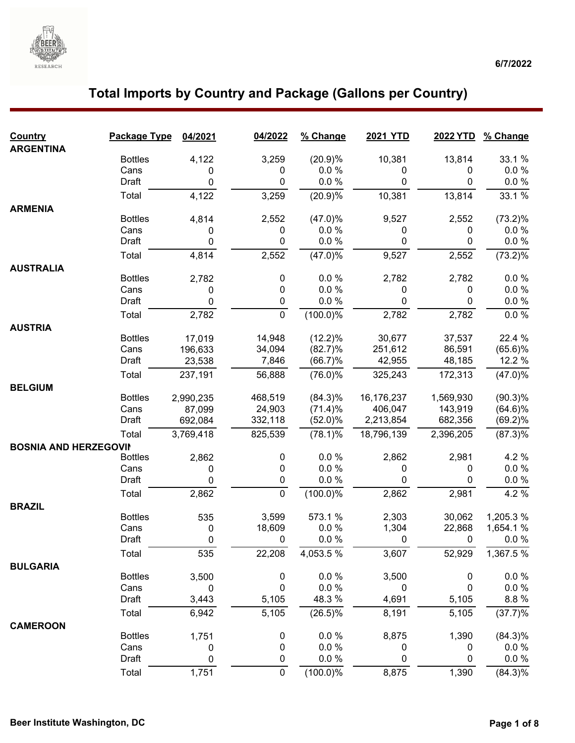

| <b>ARGENTINA</b><br><b>Bottles</b><br>3,259<br>(20.9)%<br>10,381<br>13,814<br>33.1 %<br>4,122<br>0.0 %<br>$0.0 \%$<br>Cans<br>0<br>0<br>0<br>0<br>0<br>0.0 %<br>Draft<br>0<br>0<br>0<br>$0.0 \%$<br>4,122<br>(20.9)%<br>33.1 %<br>3,259<br>10,381<br>13,814<br>Total<br><b>ARMENIA</b><br><b>Bottles</b><br>(47.0)%<br>2,552<br>9,527<br>2,552<br>$(73.2)\%$<br>4,814<br>Cans<br>0.0%<br>$0.0 \%$<br>0<br>0<br>0<br>0<br>0.0 %<br>0.0 %<br>Draft<br>0<br>0<br>0<br>0<br>Total<br>2,552<br>(47.0)%<br>4,814<br>9,527<br>2,552<br>$(73.2)\%$<br><b>AUSTRALIA</b><br><b>Bottles</b><br>0.0 %<br>2,782<br>0.0 %<br>2,782<br>2,782<br>0<br>0.0 %<br>0.0 %<br>Cans<br>0<br>0<br>0<br>0<br>Draft<br>0<br>$0.0 \%$<br>$0.0 \%$<br>0<br>0<br>0<br>0<br>$(100.0)\%$<br>2,782<br>2,782<br>2,782<br>$0.0 \%$<br>Total<br><b>AUSTRIA</b><br>(12.2)%<br>22.4 %<br><b>Bottles</b><br>14,948<br>30,677<br>37,537<br>17,019<br>$(65.6)\%$<br>Cans<br>34,094<br>(82.7)%<br>251,612<br>86,591<br>196,633<br>12.2 %<br>Draft<br>7,846<br>(66.7)%<br>42,955<br>48,185<br>23,538<br>$(76.0)\%$<br>Total<br>(47.0)%<br>237,191<br>56,888<br>325,243<br>172,313<br><b>BELGIUM</b><br><b>Bottles</b><br>468,519<br>$(84.3)\%$<br>16,176,237<br>1,569,930<br>$(90.3)\%$<br>2,990,235<br>Cans<br>24,903<br>406,047<br>143,919<br>87,099<br>(71.4)%<br>$(64.6)\%$<br>Draft<br>332,118<br>(52.0)%<br>2,213,854<br>682,356<br>(69.2)%<br>692,084<br>$(78.1)\%$<br>18,796,139<br>2,396,205<br>3,769,418<br>825,539<br>$(87.3)\%$<br>Total<br><b>BOSNIA AND HERZEGOVII</b><br><b>Bottles</b><br>$0.0 \%$<br>0<br>2,862<br>2,981<br>4.2 %<br>2,862<br>$0.0 \%$<br>$0.0 \%$<br>Cans<br>0<br>0<br>0<br>0<br>0<br>0.0 %<br>0.0 %<br>0<br>Draft<br>0<br>0<br>0<br>$(100.0)\%$<br>4.2%<br>2,862<br>2,862<br>2,981<br>Total<br><b>BRAZIL</b><br>573.1 %<br><b>Bottles</b><br>535<br>3,599<br>2,303<br>30,062<br>1,205.3 %<br>18,609<br>0.0%<br>1,304<br>22,868<br>1,654.1%<br>Cans<br>0 |
|--------------------------------------------------------------------------------------------------------------------------------------------------------------------------------------------------------------------------------------------------------------------------------------------------------------------------------------------------------------------------------------------------------------------------------------------------------------------------------------------------------------------------------------------------------------------------------------------------------------------------------------------------------------------------------------------------------------------------------------------------------------------------------------------------------------------------------------------------------------------------------------------------------------------------------------------------------------------------------------------------------------------------------------------------------------------------------------------------------------------------------------------------------------------------------------------------------------------------------------------------------------------------------------------------------------------------------------------------------------------------------------------------------------------------------------------------------------------------------------------------------------------------------------------------------------------------------------------------------------------------------------------------------------------------------------------------------------------------------------------------------------------------------------------------------------------------------------------------------------------------------------------------------------------------------------------------|
|                                                                                                                                                                                                                                                                                                                                                                                                                                                                                                                                                                                                                                                                                                                                                                                                                                                                                                                                                                                                                                                                                                                                                                                                                                                                                                                                                                                                                                                                                                                                                                                                                                                                                                                                                                                                                                                                                                                                                  |
|                                                                                                                                                                                                                                                                                                                                                                                                                                                                                                                                                                                                                                                                                                                                                                                                                                                                                                                                                                                                                                                                                                                                                                                                                                                                                                                                                                                                                                                                                                                                                                                                                                                                                                                                                                                                                                                                                                                                                  |
|                                                                                                                                                                                                                                                                                                                                                                                                                                                                                                                                                                                                                                                                                                                                                                                                                                                                                                                                                                                                                                                                                                                                                                                                                                                                                                                                                                                                                                                                                                                                                                                                                                                                                                                                                                                                                                                                                                                                                  |
|                                                                                                                                                                                                                                                                                                                                                                                                                                                                                                                                                                                                                                                                                                                                                                                                                                                                                                                                                                                                                                                                                                                                                                                                                                                                                                                                                                                                                                                                                                                                                                                                                                                                                                                                                                                                                                                                                                                                                  |
|                                                                                                                                                                                                                                                                                                                                                                                                                                                                                                                                                                                                                                                                                                                                                                                                                                                                                                                                                                                                                                                                                                                                                                                                                                                                                                                                                                                                                                                                                                                                                                                                                                                                                                                                                                                                                                                                                                                                                  |
|                                                                                                                                                                                                                                                                                                                                                                                                                                                                                                                                                                                                                                                                                                                                                                                                                                                                                                                                                                                                                                                                                                                                                                                                                                                                                                                                                                                                                                                                                                                                                                                                                                                                                                                                                                                                                                                                                                                                                  |
|                                                                                                                                                                                                                                                                                                                                                                                                                                                                                                                                                                                                                                                                                                                                                                                                                                                                                                                                                                                                                                                                                                                                                                                                                                                                                                                                                                                                                                                                                                                                                                                                                                                                                                                                                                                                                                                                                                                                                  |
|                                                                                                                                                                                                                                                                                                                                                                                                                                                                                                                                                                                                                                                                                                                                                                                                                                                                                                                                                                                                                                                                                                                                                                                                                                                                                                                                                                                                                                                                                                                                                                                                                                                                                                                                                                                                                                                                                                                                                  |
|                                                                                                                                                                                                                                                                                                                                                                                                                                                                                                                                                                                                                                                                                                                                                                                                                                                                                                                                                                                                                                                                                                                                                                                                                                                                                                                                                                                                                                                                                                                                                                                                                                                                                                                                                                                                                                                                                                                                                  |
|                                                                                                                                                                                                                                                                                                                                                                                                                                                                                                                                                                                                                                                                                                                                                                                                                                                                                                                                                                                                                                                                                                                                                                                                                                                                                                                                                                                                                                                                                                                                                                                                                                                                                                                                                                                                                                                                                                                                                  |
|                                                                                                                                                                                                                                                                                                                                                                                                                                                                                                                                                                                                                                                                                                                                                                                                                                                                                                                                                                                                                                                                                                                                                                                                                                                                                                                                                                                                                                                                                                                                                                                                                                                                                                                                                                                                                                                                                                                                                  |
|                                                                                                                                                                                                                                                                                                                                                                                                                                                                                                                                                                                                                                                                                                                                                                                                                                                                                                                                                                                                                                                                                                                                                                                                                                                                                                                                                                                                                                                                                                                                                                                                                                                                                                                                                                                                                                                                                                                                                  |
|                                                                                                                                                                                                                                                                                                                                                                                                                                                                                                                                                                                                                                                                                                                                                                                                                                                                                                                                                                                                                                                                                                                                                                                                                                                                                                                                                                                                                                                                                                                                                                                                                                                                                                                                                                                                                                                                                                                                                  |
|                                                                                                                                                                                                                                                                                                                                                                                                                                                                                                                                                                                                                                                                                                                                                                                                                                                                                                                                                                                                                                                                                                                                                                                                                                                                                                                                                                                                                                                                                                                                                                                                                                                                                                                                                                                                                                                                                                                                                  |
|                                                                                                                                                                                                                                                                                                                                                                                                                                                                                                                                                                                                                                                                                                                                                                                                                                                                                                                                                                                                                                                                                                                                                                                                                                                                                                                                                                                                                                                                                                                                                                                                                                                                                                                                                                                                                                                                                                                                                  |
|                                                                                                                                                                                                                                                                                                                                                                                                                                                                                                                                                                                                                                                                                                                                                                                                                                                                                                                                                                                                                                                                                                                                                                                                                                                                                                                                                                                                                                                                                                                                                                                                                                                                                                                                                                                                                                                                                                                                                  |
|                                                                                                                                                                                                                                                                                                                                                                                                                                                                                                                                                                                                                                                                                                                                                                                                                                                                                                                                                                                                                                                                                                                                                                                                                                                                                                                                                                                                                                                                                                                                                                                                                                                                                                                                                                                                                                                                                                                                                  |
|                                                                                                                                                                                                                                                                                                                                                                                                                                                                                                                                                                                                                                                                                                                                                                                                                                                                                                                                                                                                                                                                                                                                                                                                                                                                                                                                                                                                                                                                                                                                                                                                                                                                                                                                                                                                                                                                                                                                                  |
|                                                                                                                                                                                                                                                                                                                                                                                                                                                                                                                                                                                                                                                                                                                                                                                                                                                                                                                                                                                                                                                                                                                                                                                                                                                                                                                                                                                                                                                                                                                                                                                                                                                                                                                                                                                                                                                                                                                                                  |
|                                                                                                                                                                                                                                                                                                                                                                                                                                                                                                                                                                                                                                                                                                                                                                                                                                                                                                                                                                                                                                                                                                                                                                                                                                                                                                                                                                                                                                                                                                                                                                                                                                                                                                                                                                                                                                                                                                                                                  |
|                                                                                                                                                                                                                                                                                                                                                                                                                                                                                                                                                                                                                                                                                                                                                                                                                                                                                                                                                                                                                                                                                                                                                                                                                                                                                                                                                                                                                                                                                                                                                                                                                                                                                                                                                                                                                                                                                                                                                  |
|                                                                                                                                                                                                                                                                                                                                                                                                                                                                                                                                                                                                                                                                                                                                                                                                                                                                                                                                                                                                                                                                                                                                                                                                                                                                                                                                                                                                                                                                                                                                                                                                                                                                                                                                                                                                                                                                                                                                                  |
|                                                                                                                                                                                                                                                                                                                                                                                                                                                                                                                                                                                                                                                                                                                                                                                                                                                                                                                                                                                                                                                                                                                                                                                                                                                                                                                                                                                                                                                                                                                                                                                                                                                                                                                                                                                                                                                                                                                                                  |
|                                                                                                                                                                                                                                                                                                                                                                                                                                                                                                                                                                                                                                                                                                                                                                                                                                                                                                                                                                                                                                                                                                                                                                                                                                                                                                                                                                                                                                                                                                                                                                                                                                                                                                                                                                                                                                                                                                                                                  |
|                                                                                                                                                                                                                                                                                                                                                                                                                                                                                                                                                                                                                                                                                                                                                                                                                                                                                                                                                                                                                                                                                                                                                                                                                                                                                                                                                                                                                                                                                                                                                                                                                                                                                                                                                                                                                                                                                                                                                  |
|                                                                                                                                                                                                                                                                                                                                                                                                                                                                                                                                                                                                                                                                                                                                                                                                                                                                                                                                                                                                                                                                                                                                                                                                                                                                                                                                                                                                                                                                                                                                                                                                                                                                                                                                                                                                                                                                                                                                                  |
|                                                                                                                                                                                                                                                                                                                                                                                                                                                                                                                                                                                                                                                                                                                                                                                                                                                                                                                                                                                                                                                                                                                                                                                                                                                                                                                                                                                                                                                                                                                                                                                                                                                                                                                                                                                                                                                                                                                                                  |
|                                                                                                                                                                                                                                                                                                                                                                                                                                                                                                                                                                                                                                                                                                                                                                                                                                                                                                                                                                                                                                                                                                                                                                                                                                                                                                                                                                                                                                                                                                                                                                                                                                                                                                                                                                                                                                                                                                                                                  |
|                                                                                                                                                                                                                                                                                                                                                                                                                                                                                                                                                                                                                                                                                                                                                                                                                                                                                                                                                                                                                                                                                                                                                                                                                                                                                                                                                                                                                                                                                                                                                                                                                                                                                                                                                                                                                                                                                                                                                  |
|                                                                                                                                                                                                                                                                                                                                                                                                                                                                                                                                                                                                                                                                                                                                                                                                                                                                                                                                                                                                                                                                                                                                                                                                                                                                                                                                                                                                                                                                                                                                                                                                                                                                                                                                                                                                                                                                                                                                                  |
|                                                                                                                                                                                                                                                                                                                                                                                                                                                                                                                                                                                                                                                                                                                                                                                                                                                                                                                                                                                                                                                                                                                                                                                                                                                                                                                                                                                                                                                                                                                                                                                                                                                                                                                                                                                                                                                                                                                                                  |
|                                                                                                                                                                                                                                                                                                                                                                                                                                                                                                                                                                                                                                                                                                                                                                                                                                                                                                                                                                                                                                                                                                                                                                                                                                                                                                                                                                                                                                                                                                                                                                                                                                                                                                                                                                                                                                                                                                                                                  |
| 0.0 %<br>Draft<br>0<br>0.0 %<br>0<br>0<br>0                                                                                                                                                                                                                                                                                                                                                                                                                                                                                                                                                                                                                                                                                                                                                                                                                                                                                                                                                                                                                                                                                                                                                                                                                                                                                                                                                                                                                                                                                                                                                                                                                                                                                                                                                                                                                                                                                                      |
| Total<br>22,208<br>535<br>4,053.5 %<br>3,607<br>52,929<br>1,367.5 %                                                                                                                                                                                                                                                                                                                                                                                                                                                                                                                                                                                                                                                                                                                                                                                                                                                                                                                                                                                                                                                                                                                                                                                                                                                                                                                                                                                                                                                                                                                                                                                                                                                                                                                                                                                                                                                                              |
| <b>BULGARIA</b><br><b>Bottles</b><br>$0.0 \%$<br>0.0 %<br>3,500<br>0                                                                                                                                                                                                                                                                                                                                                                                                                                                                                                                                                                                                                                                                                                                                                                                                                                                                                                                                                                                                                                                                                                                                                                                                                                                                                                                                                                                                                                                                                                                                                                                                                                                                                                                                                                                                                                                                             |
| 3,500<br>0<br>0.0 %<br>$0.0 \%$<br>Cans<br>0<br>$\mathbf 0$<br>0<br>0                                                                                                                                                                                                                                                                                                                                                                                                                                                                                                                                                                                                                                                                                                                                                                                                                                                                                                                                                                                                                                                                                                                                                                                                                                                                                                                                                                                                                                                                                                                                                                                                                                                                                                                                                                                                                                                                            |
| 48.3 %<br>Draft<br>5,105<br>5,105<br>8.8%<br>3,443<br>4,691                                                                                                                                                                                                                                                                                                                                                                                                                                                                                                                                                                                                                                                                                                                                                                                                                                                                                                                                                                                                                                                                                                                                                                                                                                                                                                                                                                                                                                                                                                                                                                                                                                                                                                                                                                                                                                                                                      |
| $(26.5)\%$<br>6,942<br>5,105<br>8,191<br>5,105<br>Total                                                                                                                                                                                                                                                                                                                                                                                                                                                                                                                                                                                                                                                                                                                                                                                                                                                                                                                                                                                                                                                                                                                                                                                                                                                                                                                                                                                                                                                                                                                                                                                                                                                                                                                                                                                                                                                                                          |
| (37.7)%                                                                                                                                                                                                                                                                                                                                                                                                                                                                                                                                                                                                                                                                                                                                                                                                                                                                                                                                                                                                                                                                                                                                                                                                                                                                                                                                                                                                                                                                                                                                                                                                                                                                                                                                                                                                                                                                                                                                          |
| <b>CAMEROON</b><br>$0.0 \%$<br>1,390<br><b>Bottles</b><br>8,875<br>$(84.3)\%$<br>1,751<br>0                                                                                                                                                                                                                                                                                                                                                                                                                                                                                                                                                                                                                                                                                                                                                                                                                                                                                                                                                                                                                                                                                                                                                                                                                                                                                                                                                                                                                                                                                                                                                                                                                                                                                                                                                                                                                                                      |
| Cans<br>0.0 %<br>$0.0 \%$<br>0<br>0<br>0<br>0                                                                                                                                                                                                                                                                                                                                                                                                                                                                                                                                                                                                                                                                                                                                                                                                                                                                                                                                                                                                                                                                                                                                                                                                                                                                                                                                                                                                                                                                                                                                                                                                                                                                                                                                                                                                                                                                                                    |
| $0.0 \%$<br>$0.0 \%$<br>Draft<br>0<br>0<br>0<br>0                                                                                                                                                                                                                                                                                                                                                                                                                                                                                                                                                                                                                                                                                                                                                                                                                                                                                                                                                                                                                                                                                                                                                                                                                                                                                                                                                                                                                                                                                                                                                                                                                                                                                                                                                                                                                                                                                                |
| 1,751<br>$\pmb{0}$<br>Total<br>$(100.0)\%$<br>8,875<br>1,390<br>$(84.3)\%$                                                                                                                                                                                                                                                                                                                                                                                                                                                                                                                                                                                                                                                                                                                                                                                                                                                                                                                                                                                                                                                                                                                                                                                                                                                                                                                                                                                                                                                                                                                                                                                                                                                                                                                                                                                                                                                                       |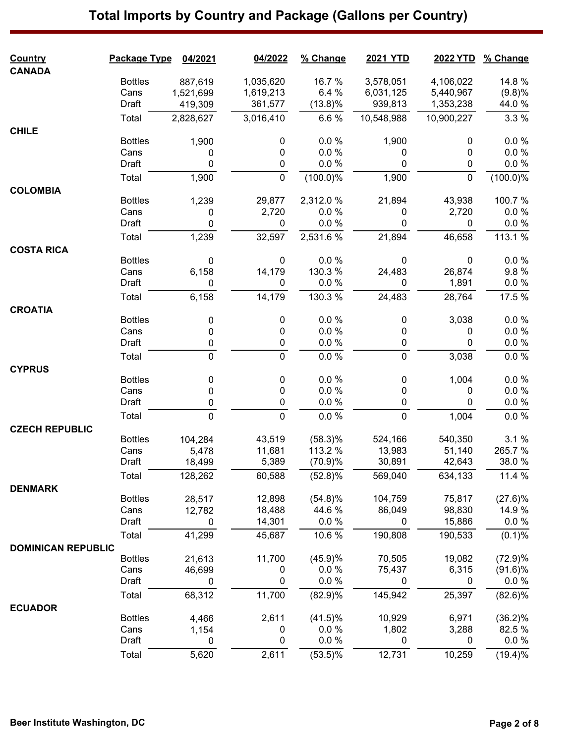#### **Country Package Type 04/2021 04/2022 % Change 2021 YTD 2022 YTD % Change CANADA** Bottles 887,619 1,035,620 16.7 % 3,578,051 4,106,022 14.8 % Cans 1,521,699 1,619,213 6.4 % 6,031,125 5,440,967 (9.8)% Draft 419,309 361,577 (13.8)% 939,813 1,353,238 44.0 % Total 2,828,627 3,016,410 6.6 % 10,548,988 10,900,227 3.3 % **CHILE** Bottles 1,900 0 0.0 % 1,900 0 0.0 %  $\textsf{Cans} \qquad \qquad \textsf{O} \qquad \qquad \textsf{O} \qquad \qquad \textsf{O} \qquad \qquad \textsf{O} \qquad \qquad \textsf{O} \qquad \qquad \textsf{O} \qquad \qquad \textsf{O} \; \qquad \textsf{O} \; \qquad \textsf{O} \; \textsf{O} \; \textsf{O} \; \textsf{O} \; \textsf{O} \; \textsf{O} \; \textsf{O} \; \textsf{O} \; \textsf{O} \; \textsf{O} \; \textsf{O} \; \textsf{O} \; \textsf{O} \; \textsf{O} \; \$ Draft 0 0 0.0 % 0 0 0.0 % Total 1,900 0 (100.0)% 1,900 0 (100.0)% **COLOMBIA** Bottles 1,239 29,877 2,312.0 % 21,894 43,938 100.7 % Cans 0 2,720 0.0 % 0 2,720 0.0 % Draft 0 0 0.0 % 0 0 0.0 % Total 1,239 32,597 2,531.6 % 21,894 46,658 113.1 % **COSTA RICA** Bottles 0 0 0.0 % 0 0 0.0 % Cans 6,158 14,179 130.3 % 24,483 26,874 9.8 % Draft 0 0 0.0 % 0 1,891 0.0 % Total 6,158 14,179 130.3 % 24,483 28,764 17.5 % **CROATIA** Bottles 0 0 0.0 % 0 3,038 0.0 %  $\textsf{Cans} \qquad \qquad \textsf{O} \qquad \qquad \textsf{O} \qquad \qquad \textsf{O} \qquad \qquad \textsf{O} \qquad \qquad \textsf{O} \qquad \qquad \textsf{O} \qquad \qquad \textsf{O} \; \qquad \qquad \textsf{O} \; \qquad \qquad \textsf{O} \; \qquad \qquad \textsf{O} \; \qquad \textsf{O} \; \qquad \textsf{O} \; \qquad \textsf{O} \; \qquad \qquad \textsf{O} \; \qquad \qquad \textsf{O} \; \qquad \qquad \textsf{O} \; \qquad \qquad \textsf{$ Draft 0 0 0.0 % 0 0 0.0 % Total 0 0 0.0 % 0 3,038 0.0 % **CYPRUS** Bottles 0 0 0.0 % 0 1,004 0.0 %  $\textsf{Cans} \qquad \qquad \textsf{O} \qquad \qquad \textsf{O} \qquad \qquad \textsf{O} \qquad \qquad \textsf{O} \qquad \qquad \textsf{O} \qquad \qquad \textsf{O} \qquad \qquad \textsf{O} \; \qquad \textsf{O} \; \qquad \textsf{O} \; \qquad \textsf{O} \; \textsf{O} \; \textsf{O} \; \textsf{O} \; \textsf{O} \; \textsf{O} \; \textsf{O} \; \textsf{O} \; \textsf{O} \; \textsf{O} \; \textsf{O} \; \textsf{O} \; \textsf{O}$ Draft 0 0 0.0 % 0 0 0.0 % Total 0 0 0.0 % 0 1,004 0.0 % **CZECH REPUBLIC** Bottles 104,284 43,519 (58.3)% 524,166 540,350 3.1 % Cans 5,478 11,681 113.2 % 13,983 51,140 265.7 % Draft 18,499 5,389 (70.9)% 30,891 42,643 38.0 % Total 128,262 60,588 (52.8)% 569,040 634,133 11.4 % **DENMARK** Bottles 28,517 12,898 (54.8)% 104,759 75,817 (27.6)% Cans 12,782 18,488 44.6 % 86,049 98,830 14.9 % Draft 0 14,301 0.0 % 0 15,886 0.0 % Total 41,299 45,687 10.6 % 190,808 190,533 (0.1)% **DOMINICAN REPUBLIC** Bottles 21,613 11,700 (45.9)% 70,505 19,082 (72.9)% Cans 46,699 0 0.0 % 75,437 6,315 (91.6)% Draft 0 0 0.0 % 0 0 0.0 % Total 68,312 11,700 (82.9)% 145,942 25,397 (82.6)% **ECUADOR** Bottles 4,466 2,611 (41.5)% 10,929 6,971 (36.2)%

Cans 1,154 0 0.0 % 1,802 3,288 82.5 % Draft 0 0 0.0 % 0 0 0.0 % Total 5,620 2,611 (53.5)% 12,731 10,259 (19.4)%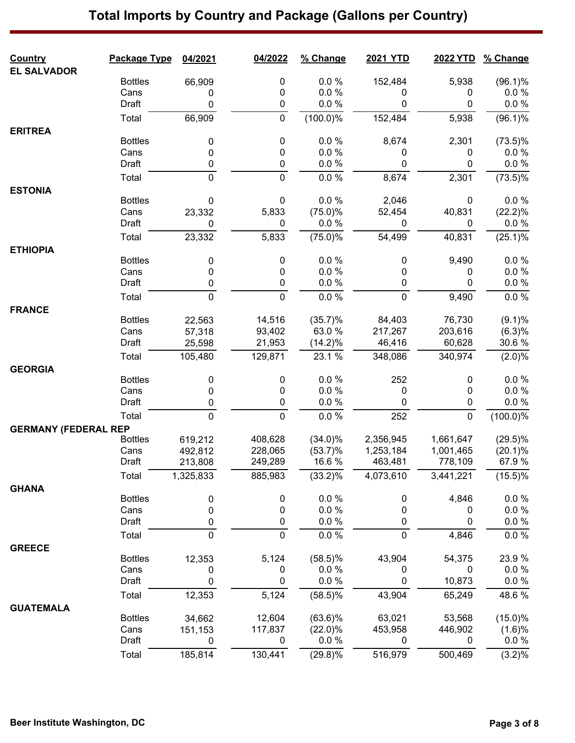| <b>Country</b>              | Package Type           | 04/2021     | 04/2022 | % Change     | <b>2021 YTD</b> | 2022 YTD    | % Change         |
|-----------------------------|------------------------|-------------|---------|--------------|-----------------|-------------|------------------|
| <b>EL SALVADOR</b>          | <b>Bottles</b>         | 66,909      | 0       | $0.0 \%$     | 152,484         | 5,938       | $(96.1)\%$       |
|                             | Cans                   | 0           | 0       | 0.0%         | 0               | 0           | 0.0%             |
|                             | Draft                  | 0           | 0       | 0.0 %        | 0               | 0           | 0.0 %            |
|                             | Total                  | 66,909      | 0       | $(100.0)\%$  | 152,484         | 5,938       | $(96.1)\%$       |
| <b>ERITREA</b>              |                        |             |         |              |                 |             |                  |
|                             | <b>Bottles</b>         | 0           | 0       | 0.0 %        | 8,674           | 2,301       | $(73.5)\%$       |
|                             | Cans                   | 0           | 0       | 0.0%         | 0               | 0           | $0.0 \%$         |
|                             | Draft                  | 0           | 0       | $0.0 \%$     | 0               | 0           | $0.0 \%$         |
|                             | Total                  | 0           | 0       | 0.0 %        | 8,674           | 2,301       | $(73.5)\%$       |
| <b>ESTONIA</b>              |                        |             |         |              |                 |             |                  |
|                             | <b>Bottles</b>         | 0           | 0       | 0.0 %        | 2,046           | 0           | 0.0%             |
|                             | Cans                   | 23,332      | 5,833   | (75.0)%      | 52,454          | 40,831      | (22.2)%          |
|                             | Draft                  | 0           | 0       | $0.0 \%$     | 0               | 0           | $0.0 \%$         |
|                             | Total                  | 23,332      | 5,833   | (75.0)%      | 54,499          | 40,831      | (25.1)%          |
| <b>ETHIOPIA</b>             |                        |             |         |              |                 |             |                  |
|                             | <b>Bottles</b><br>Cans | 0           | 0       | 0.0%<br>0.0% | 0               | 9,490       | 0.0%<br>$0.0 \%$ |
|                             | Draft                  | 0<br>0      | 0<br>0  | 0.0 %        | 0<br>0          | 0<br>0      | $0.0 \%$         |
|                             |                        |             |         |              |                 |             |                  |
|                             | Total                  | 0           | 0       | 0.0%         | $\mathbf 0$     | 9,490       | 0.0 %            |
| <b>FRANCE</b>               | <b>Bottles</b>         | 22,563      | 14,516  | (35.7)%      | 84,403          | 76,730      | (9.1)%           |
|                             | Cans                   | 57,318      | 93,402  | 63.0%        | 217,267         | 203,616     | (6.3)%           |
|                             | Draft                  | 25,598      | 21,953  | $(14.2)\%$   | 46,416          | 60,628      | 30.6%            |
|                             | Total                  | 105,480     | 129,871 | 23.1 %       | 348,086         | 340,974     | (2.0)%           |
|                             |                        |             |         |              |                 |             |                  |
| <b>GEORGIA</b>              | <b>Bottles</b>         | 0           | 0       | 0.0 %        | 252             | 0           | 0.0%             |
|                             | Cans                   | 0           | 0       | 0.0 %        | 0               | 0           | $0.0 \%$         |
|                             | Draft                  | 0           | 0       | 0.0 %        | 0               | 0           | $0.0 \%$         |
|                             | Total                  | 0           | 0       | 0.0 %        | 252             | $\mathbf 0$ | $(100.0)\%$      |
| <b>GERMANY (FEDERAL REP</b> |                        |             |         |              |                 |             |                  |
|                             | <b>Bottles</b>         | 619,212     | 408,628 | $(34.0)\%$   | 2,356,945       | 1,661,647   | $(29.5)\%$       |
|                             | Cans                   | 492,812     | 228,065 | $(53.7)\%$   | 1,253,184       | 1,001,465   | $(20.1)\%$       |
|                             | Draft                  | 213,808     | 249.289 | 16.6 %       | 463.481         | 778,109     | 67.9 %           |
|                             | Total                  | 1,325,833   | 885,983 | $(33.2)\%$   | 4,073,610       | 3,441,221   | $(15.5)\%$       |
| <b>GHANA</b>                |                        |             |         |              |                 |             |                  |
|                             | <b>Bottles</b>         | 0           | 0       | 0.0 %        | 0               | 4,846       | 0.0 %            |
|                             | Cans                   | 0           | 0       | 0.0 %        | 0               | 0           | $0.0 \%$         |
|                             | Draft                  | 0           | 0       | 0.0 %        | 0               | $\pmb{0}$   | $0.0 \%$         |
|                             | Total                  | $\mathbf 0$ | 0       | $0.0 \%$     | $\mathbf 0$     | 4,846       | 0.0 %            |
| <b>GREECE</b>               |                        |             |         |              |                 |             |                  |
|                             | <b>Bottles</b>         | 12,353      | 5,124   | $(58.5)\%$   | 43,904          | 54,375      | 23.9%            |
|                             | Cans                   | 0           | 0       | 0.0%         | 0               | 0           | $0.0 \%$         |
|                             | Draft                  | 0           | 0       | 0.0 %        | 0               | 10,873      | 0.0 %            |
|                             | Total                  | 12,353      | 5,124   | $(58.5)\%$   | 43,904          | 65,249      | 48.6%            |
| <b>GUATEMALA</b>            |                        |             |         |              |                 |             |                  |
|                             | <b>Bottles</b>         | 34,662      | 12,604  | $(63.6)\%$   | 63,021          | 53,568      | (15.0)%          |
|                             | Cans                   | 151,153     | 117,837 | $(22.0)\%$   | 453,958         | 446,902     | (1.6)%           |
|                             | Draft                  | 0           | 0       | $0.0 \%$     | 0               | 0           | $0.0 \%$         |
|                             | Total                  | 185,814     | 130,441 | $(29.8)\%$   | 516,979         | 500,469     | (3.2)%           |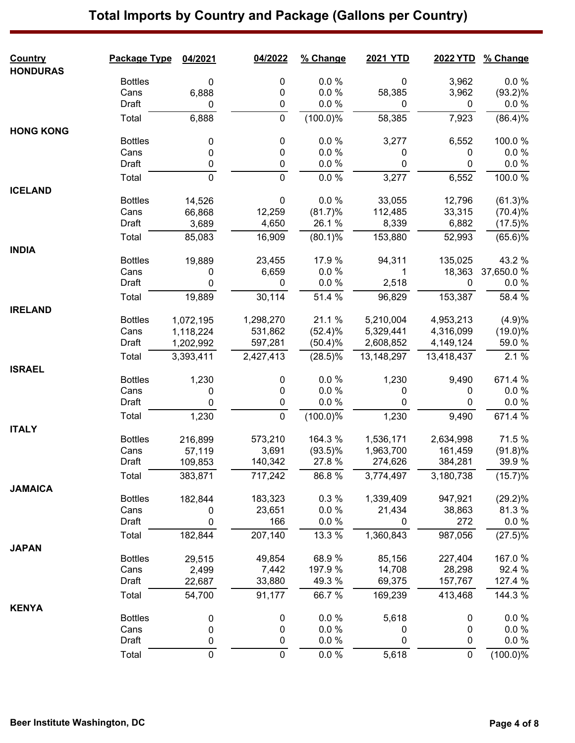#### **Country Package Type 04/2021 04/2022 % Change 2021 YTD 2022 YTD % Change HONDURAS** Bottles 0 0 0.0 % 0 3,962 0.0 % Cans 6,888 0 0.0 % 58,385 3,962 (93.2)% Draft 0 0 0.0 % 0 0 0.0 % Total 6,888 0 (100.0)% 58,385 7,923 (86.4)% **HONG KONG** Bottles 0 0 0.0 % 3,277 6,552 100.0 %  $\textsf{Cans} \qquad \qquad \textsf{O} \qquad \qquad \textsf{O} \qquad \qquad \textsf{O} \qquad \qquad \textsf{O} \qquad \qquad \textsf{O} \qquad \qquad \textsf{O} \qquad \qquad \textsf{O} \; \qquad \qquad \textsf{O} \; \qquad \qquad \textsf{O} \; \qquad \qquad \textsf{O} \; \qquad \textsf{O} \; \qquad \textsf{O} \; \qquad \textsf{O} \; \qquad \qquad \textsf{O} \; \qquad \qquad \textsf{O} \; \qquad \qquad \textsf{O} \; \qquad \qquad \textsf{$ Draft 0 0 0.0 % 0 0 0.0 % Total 0 0 0.0 % 3,277 6,552 100.0 % **ICELAND** Bottles 14,526 0 0.0 % 33,055 12,796 (61.3)% Cans 66,868 12,259 (81.7)% 112,485 33,315 (70.4)% Draft 3,689 4,650 26.1 % 8,339 6,882 (17.5)% Total 85,083 16,909 (80.1)% 153,880 52,993 (65.6)% **INDIA** Bottles 19,889 23,455 17.9 % 94,311 135,025 43.2 % Cans 0 6,659 0.0 % 1 18,363 37,650.0 % Draft 0 0 0.0 % 2,518 0 0.0 % Total 19,889 30,114 51.4 % 96,829 153,387 58.4 % **IRELAND** Bottles 1,072,195 1,298,270 21.1 % 5,210,004 4,953,213 (4.9)% Cans 1,118,224 531,862 (52.4)% 5,329,441 4,316,099 (19.0)% Draft 1,202,992 597,281 (50.4)% 2,608,852 4,149,124 59.0 % Total 3,393,411 2,427,413 (28.5)% 13,148,297 13,418,437 2.1 % **ISRAEL** Bottles 1,230 0 0.0 % 1,230 9,490 671.4 %  $\textsf{Cans} \qquad \qquad \textsf{O} \qquad \qquad \textsf{O} \qquad \qquad \textsf{O} \qquad \qquad \textsf{O} \qquad \qquad \textsf{O} \qquad \qquad \textsf{O} \qquad \qquad \textsf{O} \; \qquad \textsf{O} \; \qquad \textsf{O} \; \textsf{O} \; \textsf{O} \; \textsf{O} \; \textsf{O} \; \textsf{O} \; \textsf{O} \; \textsf{O} \; \textsf{O} \; \textsf{O} \; \textsf{O} \; \textsf{O} \; \textsf{O} \; \textsf{O} \; \$ Draft 0 0 0.0 % 0 0 0.0 % Total 1,230 0 (100.0)% 1,230 9,490 671.4 % **ITALY** Bottles 216,899 573,210 164.3 % 1,536,171 2,634,998 71.5 % Cans 57,119 3,691 (93.5)% 1,963,700 161,459 (91.8)% Draft 109,853 140,342 27.8 % 274,626 384,281 39.9 % Total 383,871 717,242 86.8 % 3,774,497 3,180,738 (15.7)% **JAMAICA** Bottles 182,844 183,323 0.3 % 1,339,409 947,921 (29.2)% Cans 0 23,651 0.0 % 21,434 38,863 81.3 % Draft 0 166 0.0 % 0 272 0.0 % Total 182,844 207,140 13.3 % 1,360,843 987,056 (27.5)% **JAPAN** Bottles 29,515 49,854 68.9 % 85,156 227,404 167.0 % Cans 2,499 7,442 197.9 % 14,708 28,298 92.4 % Draft 22,687 33,880 49.3 % 69,375 157,767 127.4 % Total 54,700 91,177 66.7 % 169,239 413,468 144.3 % **KENYA** Bottles 0 0 0.0 % 5,618 0 0.0 %  $\textsf{Cans} \qquad \qquad \textsf{O} \qquad \qquad \textsf{O} \qquad \qquad \textsf{O} \qquad \qquad \textsf{O} \qquad \qquad \textsf{O} \qquad \qquad \textsf{O} \qquad \qquad \textsf{O} \; \qquad \textsf{O} \; \qquad \textsf{O} \; \textsf{O} \; \textsf{O} \; \textsf{O} \; \textsf{O} \; \textsf{O} \; \textsf{O} \; \textsf{O} \; \textsf{O} \; \textsf{O} \; \textsf{O} \; \textsf{O} \; \textsf{O} \; \textsf{O} \; \$ Draft 0 0 0.0 % 0 0 0.0 % Total 0 0 0.0 % 5,618 0 (100.0)%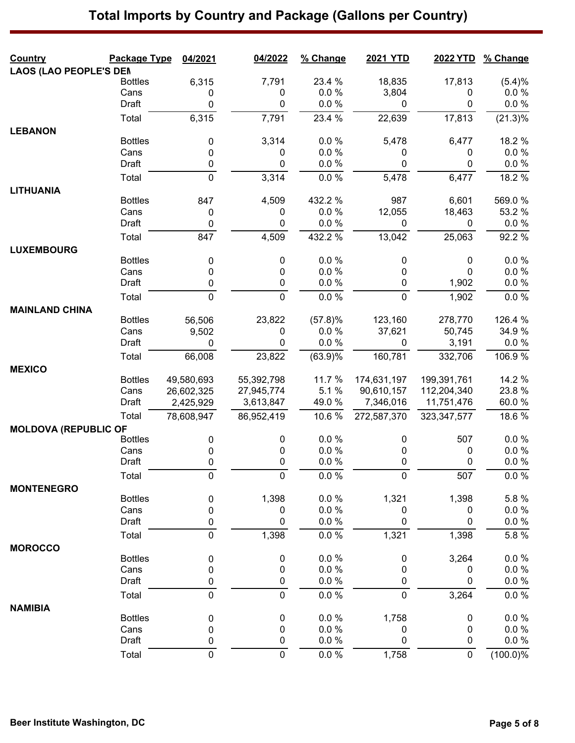| <b>Country</b>                | Package Type           | 04/2021                | 04/2022     | % Change       | 2021 YTD         | 2022 YTD      | % Change             |
|-------------------------------|------------------------|------------------------|-------------|----------------|------------------|---------------|----------------------|
| <b>LAOS (LAO PEOPLE'S DEN</b> | <b>Bottles</b>         |                        | 7,791       | 23.4 %         | 18,835           | 17,813        |                      |
|                               | Cans                   | 6,315<br>0             | 0           | 0.0%           | 3,804            | 0             | (5.4)%<br>$0.0 \%$   |
|                               | Draft                  | 0                      | 0           | 0.0 %          | 0                | 0             | $0.0 \%$             |
|                               | Total                  | 6,315                  | 7,791       | 23.4 %         | 22,639           | 17,813        | (21.3)%              |
| <b>LEBANON</b>                |                        |                        |             |                |                  |               |                      |
|                               | <b>Bottles</b>         | 0                      | 3,314       | $0.0 \%$       | 5,478            | 6,477         | 18.2 %               |
|                               | Cans                   | 0                      | 0           | $0.0 \%$       | 0                | 0             | $0.0 \%$             |
|                               | Draft                  | 0                      | 0           | 0.0 %          | 0                | 0             | $0.0 \%$             |
|                               | Total                  | $\mathbf 0$            | 3,314       | 0.0 %          | 5,478            | 6,477         | 18.2 %               |
| <b>LITHUANIA</b>              |                        |                        |             |                |                  |               |                      |
|                               | <b>Bottles</b>         | 847                    | 4,509       | 432.2 %        | 987              | 6,601         | 569.0 %              |
|                               | Cans                   | $\pmb{0}$              | 0           | 0.0%           | 12,055           | 18,463        | 53.2 %               |
|                               | Draft                  | $\pmb{0}$              | 0           | 0.0 %          | $\boldsymbol{0}$ | 0             | 0.0 %                |
|                               | Total                  | 847                    | 4,509       | 432.2 %        | 13,042           | 25,063        | 92.2 %               |
| <b>LUXEMBOURG</b>             |                        |                        |             |                |                  |               |                      |
|                               | <b>Bottles</b>         | 0                      | 0           | 0.0%           | 0                | 0             | 0.0 %                |
|                               | Cans<br>Draft          | 0<br>$\pmb{0}$         | 0<br>0      | 0.0%<br>0.0 %  | 0<br>0           | 0<br>1,902    | $0.0 \%$<br>$0.0 \%$ |
|                               | Total                  | $\mathbf 0$            | 0           | 0.0 %          | $\mathbf 0$      | 1,902         | $0.0 \%$             |
| <b>MAINLAND CHINA</b>         |                        |                        |             |                |                  |               |                      |
|                               | <b>Bottles</b>         | 56,506                 | 23,822      | (57.8)%        | 123,160          | 278,770       | 126.4 %              |
|                               | Cans                   | 9,502                  | 0           | 0.0 %          | 37,621           | 50,745        | 34.9%                |
|                               | Draft                  | $\mathbf{0}$           | 0           | 0.0 %          | 0                | 3,191         | 0.0 %                |
|                               | Total                  | 66,008                 | 23,822      | (63.9)%        | 160,781          | 332,706       | 106.9%               |
| <b>MEXICO</b>                 |                        |                        |             |                |                  |               |                      |
|                               | <b>Bottles</b>         | 49,580,693             | 55,392,798  | 11.7 %         | 174,631,197      | 199,391,761   | 14.2 %               |
|                               | Cans                   | 26,602,325             | 27,945,774  | 5.1%           | 90,610,157       | 112,204,340   | 23.8%                |
|                               | Draft                  | 2,425,929              | 3,613,847   | 49.0%          | 7,346,016        | 11,751,476    | 60.0%                |
|                               | Total                  | 78,608,947             | 86,952,419  | 10.6%          | 272,587,370      | 323, 347, 577 | 18.6%                |
| <b>MOLDOVA (REPUBLIC OF</b>   |                        |                        |             |                |                  |               |                      |
|                               | <b>Bottles</b>         | 0                      | 0           | 0.0 %          | 0                | 507           | 0.0 %                |
|                               | Cans                   | 0                      | 0           | 0.0%           | 0                | 0             | $0.0 \%$             |
|                               | Draft                  | 0                      | 0           | 0.0 %          | 0                | 0             | $0.0 \%$             |
|                               | Total                  | 0                      | $\pmb{0}$   | 0.0 %          | $\mathbf 0$      | 507           | $0.0 \%$             |
| <b>MONTENEGRO</b>             |                        |                        |             |                |                  |               |                      |
|                               | <b>Bottles</b><br>Cans | $\pmb{0}$              | 1,398       | 0.0 %<br>0.0 % | 1,321            | 1,398<br>0    | 5.8%<br>$0.0 \%$     |
|                               | Draft                  | $\pmb{0}$<br>$\pmb{0}$ | 0<br>0      | 0.0 %          | 0<br>0           | 0             | 0.0 %                |
|                               | Total                  | $\overline{0}$         | 1,398       | 0.0 %          | 1,321            | 1,398         | 5.8%                 |
| <b>MOROCCO</b>                |                        |                        |             |                |                  |               |                      |
|                               | <b>Bottles</b>         | 0                      | 0           | 0.0%           | $\boldsymbol{0}$ | 3,264         | 0.0 %                |
|                               | Cans                   | 0                      | 0           | 0.0%           | 0                | 0             | $0.0 \%$             |
|                               | Draft                  | 0                      | $\pmb{0}$   | 0.0 %          | 0                | 0             | $0.0 \%$             |
|                               | Total                  | $\mathbf 0$            | $\mathbf 0$ | 0.0 %          | $\mathbf 0$      | 3,264         | $0.0 \%$             |
| <b>NAMIBIA</b>                |                        |                        |             |                |                  |               |                      |
|                               | <b>Bottles</b>         | 0                      | 0           | 0.0 %          | 1,758            | 0             | 0.0 %                |
|                               | Cans                   | $\pmb{0}$              | 0           | 0.0 %          | 0                | 0             | $0.0 \%$             |
|                               | Draft                  | $\pmb{0}$              | 0           | 0.0 %          | 0                | 0             | $0.0 \%$             |
|                               | Total                  | $\pmb{0}$              | $\mathbf 0$ | $0.0 \%$       | 1,758            | 0             | $(100.0)\%$          |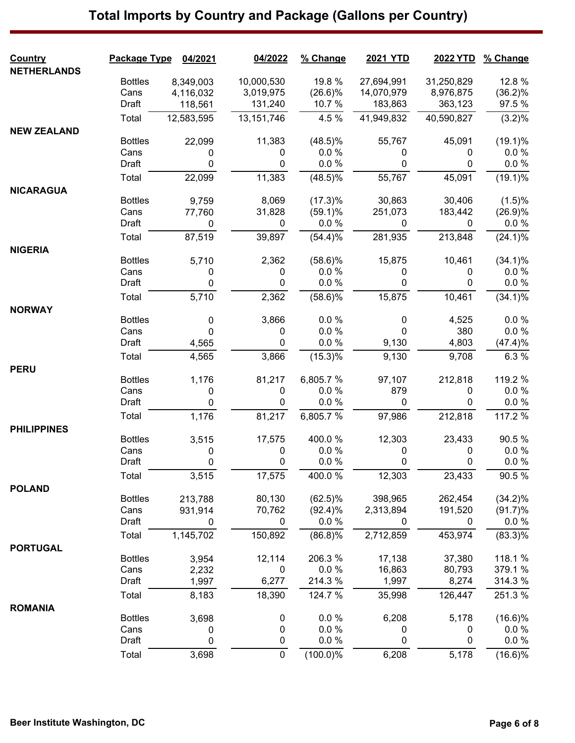| <b>NETHERLANDS</b><br>12.8 %<br><b>Bottles</b><br>10,000,530<br>19.8 %<br>27,694,991<br>31,250,829<br>8,349,003<br>Cans<br>3,019,975<br>$(26.6)\%$<br>14,070,979<br>(36.2)%<br>4,116,032<br>8,976,875<br>97.5 %<br>Draft<br>131,240<br>10.7 %<br>183,863<br>363,123<br>118,561<br>12,583,595<br>13, 151, 746<br>4.5%<br>41,949,832<br>40,590,827<br>(3.2)%<br>Total<br><b>NEW ZEALAND</b><br><b>Bottles</b><br>22,099<br>11,383<br>$(48.5)\%$<br>55,767<br>45,091<br>(19.1)%<br>Cans<br>0.0%<br>0.0 %<br>0<br>0<br>0<br>0<br>$0.0 \%$<br>Draft<br>0<br>0.0%<br>0<br>0<br>0<br>$(48.5)\%$<br>$(19.1)\%$<br>11,383<br>55,767<br>45,091<br>22,099<br>Total<br><b>NICARAGUA</b><br><b>Bottles</b><br>30,863<br>8,069<br>(17.3)%<br>30,406<br>(1.5)%<br>9,759<br>31,828<br>(26.9)%<br>Cans<br>77,760<br>$(59.1)\%$<br>251,073<br>183,442<br>0.0 %<br>$0.0 \%$<br>Draft<br>0<br>0<br>0<br>0<br>87,519<br>39,897<br>(54.4)%<br>281,935<br>213,848<br>$(24.1)\%$<br>Total<br><b>NIGERIA</b><br><b>Bottles</b><br>2,362<br>$(58.6)\%$<br>15,875<br>10,461<br>$(34.1)\%$<br>5,710<br>Cans<br>0.0%<br>0.0%<br>0<br>0<br>0<br>0<br>0.0 %<br>0.0 %<br>Draft<br>0<br>0<br>0<br>0<br>2,362<br>15,875<br>10,461<br>$(58.6)\%$<br>$(34.1)\%$<br>Total<br>5,710<br><b>NORWAY</b><br><b>Bottles</b><br>0.0 %<br>3,866<br>0<br>4,525<br>0.0%<br>0<br>0.0 %<br>380<br>0.0 %<br>Cans<br>$\mathbf 0$<br>0<br>0<br>0<br>0.0 %<br>Draft<br>4,803<br>(47.4)%<br>9,130<br>4,565<br>(15.3)%<br>3,866<br>9,130<br>6.3%<br>Total<br>4,565<br>9,708<br><b>PERU</b><br>6,805.7%<br>119.2 %<br><b>Bottles</b><br>81,217<br>97,107<br>212,818<br>1,176<br>Cans<br>0.0%<br>879<br>$0.0 \%$<br>0<br>0<br>0<br>0.0%<br>0.0 %<br>Draft<br>0<br>0<br>0<br>0<br>1,176<br>117.2 %<br>81,217<br>6,805.7%<br>97,986<br>212,818<br>Total<br><b>PHILIPPINES</b><br><b>Bottles</b><br>17,575<br>400.0%<br>12,303<br>23,433<br>90.5%<br>3,515 |
|------------------------------------------------------------------------------------------------------------------------------------------------------------------------------------------------------------------------------------------------------------------------------------------------------------------------------------------------------------------------------------------------------------------------------------------------------------------------------------------------------------------------------------------------------------------------------------------------------------------------------------------------------------------------------------------------------------------------------------------------------------------------------------------------------------------------------------------------------------------------------------------------------------------------------------------------------------------------------------------------------------------------------------------------------------------------------------------------------------------------------------------------------------------------------------------------------------------------------------------------------------------------------------------------------------------------------------------------------------------------------------------------------------------------------------------------------------------------------------------------------------------------------------------------------------------------------------------------------------------------------------------------------------------------------------------------------------------------------------------------------------------------------------------------------------------------------------------------------------------------------------------------|
|                                                                                                                                                                                                                                                                                                                                                                                                                                                                                                                                                                                                                                                                                                                                                                                                                                                                                                                                                                                                                                                                                                                                                                                                                                                                                                                                                                                                                                                                                                                                                                                                                                                                                                                                                                                                                                                                                                |
|                                                                                                                                                                                                                                                                                                                                                                                                                                                                                                                                                                                                                                                                                                                                                                                                                                                                                                                                                                                                                                                                                                                                                                                                                                                                                                                                                                                                                                                                                                                                                                                                                                                                                                                                                                                                                                                                                                |
|                                                                                                                                                                                                                                                                                                                                                                                                                                                                                                                                                                                                                                                                                                                                                                                                                                                                                                                                                                                                                                                                                                                                                                                                                                                                                                                                                                                                                                                                                                                                                                                                                                                                                                                                                                                                                                                                                                |
|                                                                                                                                                                                                                                                                                                                                                                                                                                                                                                                                                                                                                                                                                                                                                                                                                                                                                                                                                                                                                                                                                                                                                                                                                                                                                                                                                                                                                                                                                                                                                                                                                                                                                                                                                                                                                                                                                                |
|                                                                                                                                                                                                                                                                                                                                                                                                                                                                                                                                                                                                                                                                                                                                                                                                                                                                                                                                                                                                                                                                                                                                                                                                                                                                                                                                                                                                                                                                                                                                                                                                                                                                                                                                                                                                                                                                                                |
|                                                                                                                                                                                                                                                                                                                                                                                                                                                                                                                                                                                                                                                                                                                                                                                                                                                                                                                                                                                                                                                                                                                                                                                                                                                                                                                                                                                                                                                                                                                                                                                                                                                                                                                                                                                                                                                                                                |
|                                                                                                                                                                                                                                                                                                                                                                                                                                                                                                                                                                                                                                                                                                                                                                                                                                                                                                                                                                                                                                                                                                                                                                                                                                                                                                                                                                                                                                                                                                                                                                                                                                                                                                                                                                                                                                                                                                |
|                                                                                                                                                                                                                                                                                                                                                                                                                                                                                                                                                                                                                                                                                                                                                                                                                                                                                                                                                                                                                                                                                                                                                                                                                                                                                                                                                                                                                                                                                                                                                                                                                                                                                                                                                                                                                                                                                                |
|                                                                                                                                                                                                                                                                                                                                                                                                                                                                                                                                                                                                                                                                                                                                                                                                                                                                                                                                                                                                                                                                                                                                                                                                                                                                                                                                                                                                                                                                                                                                                                                                                                                                                                                                                                                                                                                                                                |
|                                                                                                                                                                                                                                                                                                                                                                                                                                                                                                                                                                                                                                                                                                                                                                                                                                                                                                                                                                                                                                                                                                                                                                                                                                                                                                                                                                                                                                                                                                                                                                                                                                                                                                                                                                                                                                                                                                |
|                                                                                                                                                                                                                                                                                                                                                                                                                                                                                                                                                                                                                                                                                                                                                                                                                                                                                                                                                                                                                                                                                                                                                                                                                                                                                                                                                                                                                                                                                                                                                                                                                                                                                                                                                                                                                                                                                                |
|                                                                                                                                                                                                                                                                                                                                                                                                                                                                                                                                                                                                                                                                                                                                                                                                                                                                                                                                                                                                                                                                                                                                                                                                                                                                                                                                                                                                                                                                                                                                                                                                                                                                                                                                                                                                                                                                                                |
|                                                                                                                                                                                                                                                                                                                                                                                                                                                                                                                                                                                                                                                                                                                                                                                                                                                                                                                                                                                                                                                                                                                                                                                                                                                                                                                                                                                                                                                                                                                                                                                                                                                                                                                                                                                                                                                                                                |
|                                                                                                                                                                                                                                                                                                                                                                                                                                                                                                                                                                                                                                                                                                                                                                                                                                                                                                                                                                                                                                                                                                                                                                                                                                                                                                                                                                                                                                                                                                                                                                                                                                                                                                                                                                                                                                                                                                |
|                                                                                                                                                                                                                                                                                                                                                                                                                                                                                                                                                                                                                                                                                                                                                                                                                                                                                                                                                                                                                                                                                                                                                                                                                                                                                                                                                                                                                                                                                                                                                                                                                                                                                                                                                                                                                                                                                                |
|                                                                                                                                                                                                                                                                                                                                                                                                                                                                                                                                                                                                                                                                                                                                                                                                                                                                                                                                                                                                                                                                                                                                                                                                                                                                                                                                                                                                                                                                                                                                                                                                                                                                                                                                                                                                                                                                                                |
|                                                                                                                                                                                                                                                                                                                                                                                                                                                                                                                                                                                                                                                                                                                                                                                                                                                                                                                                                                                                                                                                                                                                                                                                                                                                                                                                                                                                                                                                                                                                                                                                                                                                                                                                                                                                                                                                                                |
|                                                                                                                                                                                                                                                                                                                                                                                                                                                                                                                                                                                                                                                                                                                                                                                                                                                                                                                                                                                                                                                                                                                                                                                                                                                                                                                                                                                                                                                                                                                                                                                                                                                                                                                                                                                                                                                                                                |
|                                                                                                                                                                                                                                                                                                                                                                                                                                                                                                                                                                                                                                                                                                                                                                                                                                                                                                                                                                                                                                                                                                                                                                                                                                                                                                                                                                                                                                                                                                                                                                                                                                                                                                                                                                                                                                                                                                |
|                                                                                                                                                                                                                                                                                                                                                                                                                                                                                                                                                                                                                                                                                                                                                                                                                                                                                                                                                                                                                                                                                                                                                                                                                                                                                                                                                                                                                                                                                                                                                                                                                                                                                                                                                                                                                                                                                                |
|                                                                                                                                                                                                                                                                                                                                                                                                                                                                                                                                                                                                                                                                                                                                                                                                                                                                                                                                                                                                                                                                                                                                                                                                                                                                                                                                                                                                                                                                                                                                                                                                                                                                                                                                                                                                                                                                                                |
|                                                                                                                                                                                                                                                                                                                                                                                                                                                                                                                                                                                                                                                                                                                                                                                                                                                                                                                                                                                                                                                                                                                                                                                                                                                                                                                                                                                                                                                                                                                                                                                                                                                                                                                                                                                                                                                                                                |
|                                                                                                                                                                                                                                                                                                                                                                                                                                                                                                                                                                                                                                                                                                                                                                                                                                                                                                                                                                                                                                                                                                                                                                                                                                                                                                                                                                                                                                                                                                                                                                                                                                                                                                                                                                                                                                                                                                |
|                                                                                                                                                                                                                                                                                                                                                                                                                                                                                                                                                                                                                                                                                                                                                                                                                                                                                                                                                                                                                                                                                                                                                                                                                                                                                                                                                                                                                                                                                                                                                                                                                                                                                                                                                                                                                                                                                                |
|                                                                                                                                                                                                                                                                                                                                                                                                                                                                                                                                                                                                                                                                                                                                                                                                                                                                                                                                                                                                                                                                                                                                                                                                                                                                                                                                                                                                                                                                                                                                                                                                                                                                                                                                                                                                                                                                                                |
|                                                                                                                                                                                                                                                                                                                                                                                                                                                                                                                                                                                                                                                                                                                                                                                                                                                                                                                                                                                                                                                                                                                                                                                                                                                                                                                                                                                                                                                                                                                                                                                                                                                                                                                                                                                                                                                                                                |
|                                                                                                                                                                                                                                                                                                                                                                                                                                                                                                                                                                                                                                                                                                                                                                                                                                                                                                                                                                                                                                                                                                                                                                                                                                                                                                                                                                                                                                                                                                                                                                                                                                                                                                                                                                                                                                                                                                |
|                                                                                                                                                                                                                                                                                                                                                                                                                                                                                                                                                                                                                                                                                                                                                                                                                                                                                                                                                                                                                                                                                                                                                                                                                                                                                                                                                                                                                                                                                                                                                                                                                                                                                                                                                                                                                                                                                                |
|                                                                                                                                                                                                                                                                                                                                                                                                                                                                                                                                                                                                                                                                                                                                                                                                                                                                                                                                                                                                                                                                                                                                                                                                                                                                                                                                                                                                                                                                                                                                                                                                                                                                                                                                                                                                                                                                                                |
| 0.0 %<br>0.0 %<br>Cans<br>0<br>0<br>0<br>0                                                                                                                                                                                                                                                                                                                                                                                                                                                                                                                                                                                                                                                                                                                                                                                                                                                                                                                                                                                                                                                                                                                                                                                                                                                                                                                                                                                                                                                                                                                                                                                                                                                                                                                                                                                                                                                     |
| 0.0 %<br>Draft<br>0.0 %<br>0<br>0<br>0<br>0                                                                                                                                                                                                                                                                                                                                                                                                                                                                                                                                                                                                                                                                                                                                                                                                                                                                                                                                                                                                                                                                                                                                                                                                                                                                                                                                                                                                                                                                                                                                                                                                                                                                                                                                                                                                                                                    |
| 17,575<br>3,515<br>400.0%<br>12,303<br>23,433<br>90.5%<br>Total                                                                                                                                                                                                                                                                                                                                                                                                                                                                                                                                                                                                                                                                                                                                                                                                                                                                                                                                                                                                                                                                                                                                                                                                                                                                                                                                                                                                                                                                                                                                                                                                                                                                                                                                                                                                                                |
| <b>POLAND</b>                                                                                                                                                                                                                                                                                                                                                                                                                                                                                                                                                                                                                                                                                                                                                                                                                                                                                                                                                                                                                                                                                                                                                                                                                                                                                                                                                                                                                                                                                                                                                                                                                                                                                                                                                                                                                                                                                  |
| <b>Bottles</b><br>213,788<br>80,130<br>$(62.5)\%$<br>398,965<br>262,454<br>$(34.2)\%$                                                                                                                                                                                                                                                                                                                                                                                                                                                                                                                                                                                                                                                                                                                                                                                                                                                                                                                                                                                                                                                                                                                                                                                                                                                                                                                                                                                                                                                                                                                                                                                                                                                                                                                                                                                                          |
| Cans<br>70,762<br>$(92.4)\%$<br>2,313,894<br>191,520<br>(91.7)%<br>931,914                                                                                                                                                                                                                                                                                                                                                                                                                                                                                                                                                                                                                                                                                                                                                                                                                                                                                                                                                                                                                                                                                                                                                                                                                                                                                                                                                                                                                                                                                                                                                                                                                                                                                                                                                                                                                     |
| 0.0 %<br>$0.0\ \%$<br>Draft<br>0<br>0<br>0<br>0                                                                                                                                                                                                                                                                                                                                                                                                                                                                                                                                                                                                                                                                                                                                                                                                                                                                                                                                                                                                                                                                                                                                                                                                                                                                                                                                                                                                                                                                                                                                                                                                                                                                                                                                                                                                                                                |
| $(83.3)\%$<br>Total<br>1,145,702<br>150,892<br>$(86.8)$ %<br>453,974<br>2,712,859                                                                                                                                                                                                                                                                                                                                                                                                                                                                                                                                                                                                                                                                                                                                                                                                                                                                                                                                                                                                                                                                                                                                                                                                                                                                                                                                                                                                                                                                                                                                                                                                                                                                                                                                                                                                              |
| <b>PORTUGAL</b>                                                                                                                                                                                                                                                                                                                                                                                                                                                                                                                                                                                                                                                                                                                                                                                                                                                                                                                                                                                                                                                                                                                                                                                                                                                                                                                                                                                                                                                                                                                                                                                                                                                                                                                                                                                                                                                                                |
| <b>Bottles</b><br>12,114<br>206.3%<br>17,138<br>37,380<br>118.1 %<br>3,954                                                                                                                                                                                                                                                                                                                                                                                                                                                                                                                                                                                                                                                                                                                                                                                                                                                                                                                                                                                                                                                                                                                                                                                                                                                                                                                                                                                                                                                                                                                                                                                                                                                                                                                                                                                                                     |
| 16,863<br>Cans<br>0.0 %<br>80,793<br>379.1 %<br>2,232<br>0                                                                                                                                                                                                                                                                                                                                                                                                                                                                                                                                                                                                                                                                                                                                                                                                                                                                                                                                                                                                                                                                                                                                                                                                                                                                                                                                                                                                                                                                                                                                                                                                                                                                                                                                                                                                                                     |
| Draft<br>6,277<br>214.3%<br>314.3%<br>1,997<br>1,997<br>8,274                                                                                                                                                                                                                                                                                                                                                                                                                                                                                                                                                                                                                                                                                                                                                                                                                                                                                                                                                                                                                                                                                                                                                                                                                                                                                                                                                                                                                                                                                                                                                                                                                                                                                                                                                                                                                                  |
| 251.3%<br>8,183<br>18,390<br>124.7 %<br>35,998<br>126,447<br>Total                                                                                                                                                                                                                                                                                                                                                                                                                                                                                                                                                                                                                                                                                                                                                                                                                                                                                                                                                                                                                                                                                                                                                                                                                                                                                                                                                                                                                                                                                                                                                                                                                                                                                                                                                                                                                             |
| <b>ROMANIA</b><br><b>Bottles</b><br>0.0%<br>6,208<br>5,178<br>$(16.6)\%$<br>0<br>3,698                                                                                                                                                                                                                                                                                                                                                                                                                                                                                                                                                                                                                                                                                                                                                                                                                                                                                                                                                                                                                                                                                                                                                                                                                                                                                                                                                                                                                                                                                                                                                                                                                                                                                                                                                                                                         |
| 0.0 %<br>Cans<br>0<br>$0.0 \%$<br>0<br>0<br>0                                                                                                                                                                                                                                                                                                                                                                                                                                                                                                                                                                                                                                                                                                                                                                                                                                                                                                                                                                                                                                                                                                                                                                                                                                                                                                                                                                                                                                                                                                                                                                                                                                                                                                                                                                                                                                                  |
| 0<br>0.0 %<br>0<br>$0.0 \%$<br>Draft<br>0<br>0                                                                                                                                                                                                                                                                                                                                                                                                                                                                                                                                                                                                                                                                                                                                                                                                                                                                                                                                                                                                                                                                                                                                                                                                                                                                                                                                                                                                                                                                                                                                                                                                                                                                                                                                                                                                                                                 |
| $\pmb{0}$<br>(100.0)%<br>$(16.6)\%$<br>Total<br>3,698<br>6,208<br>5,178                                                                                                                                                                                                                                                                                                                                                                                                                                                                                                                                                                                                                                                                                                                                                                                                                                                                                                                                                                                                                                                                                                                                                                                                                                                                                                                                                                                                                                                                                                                                                                                                                                                                                                                                                                                                                        |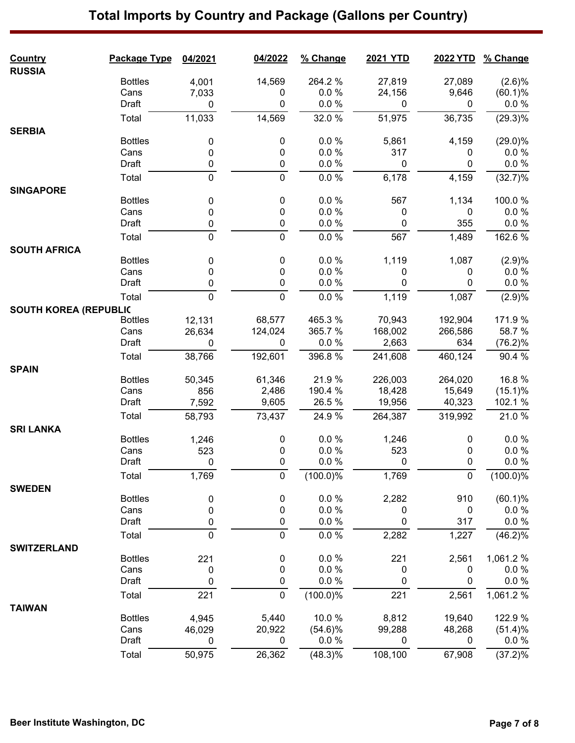| <b>Country</b>               | Package Type   | 04/2021     | 04/2022      | % Change    | 2021 YTD    | <b>2022 YTD</b> | % Change              |
|------------------------------|----------------|-------------|--------------|-------------|-------------|-----------------|-----------------------|
| <b>RUSSIA</b>                | <b>Bottles</b> | 4,001       | 14,569       | 264.2%      | 27,819      | 27,089          | (2.6)%                |
|                              | Cans           | 7,033       | 0            | 0.0%        | 24,156      | 9,646           | (60.1)%               |
|                              | Draft          | $\mathbf 0$ | 0            | 0.0 %       | 0           | $\mathbf 0$     | $0.0 \%$              |
|                              | Total          | 11,033      | 14,569       | 32.0%       | 51,975      | 36,735          | $(29.3)\%$            |
| <b>SERBIA</b>                |                |             |              |             |             |                 |                       |
|                              | <b>Bottles</b> | 0           | 0            | 0.0%        | 5,861       | 4,159           | $(29.0)\%$            |
|                              | Cans           | 0           | 0            | $0.0 \%$    | 317         | 0               | $0.0 \%$              |
|                              | Draft          | 0           | 0            | 0.0 %       | $\mathbf 0$ | 0               | $0.0 \%$              |
|                              | Total          | $\pmb{0}$   | $\pmb{0}$    | 0.0 %       | 6,178       | 4,159           | (32.7)%               |
| <b>SINGAPORE</b>             |                |             |              |             |             |                 |                       |
|                              | <b>Bottles</b> | 0           | 0            | 0.0 %       | 567         | 1,134           | 100.0%                |
|                              | Cans           | $\pmb{0}$   | 0            | 0.0 %       | 0           | 0               | $0.0 \%$              |
|                              | Draft          | $\pmb{0}$   | $\pmb{0}$    | 0.0 %       | 0           | 355             | 0.0 %                 |
|                              | Total          | $\mathbf 0$ | $\mathbf 0$  | 0.0 %       | 567         | 1,489           | 162.6%                |
| <b>SOUTH AFRICA</b>          |                |             |              |             |             |                 |                       |
|                              | <b>Bottles</b> | 0           | 0            | 0.0%        | 1,119       | 1,087           | (2.9)%                |
|                              | Cans           | 0           | 0            | 0.0%        | 0           | 0               | $0.0 \%$              |
|                              | Draft          | 0           | 0            | 0.0 %       | 0           | 0               | $0.0 \%$              |
|                              | Total          | $\mathbf 0$ | 0            | 0.0 %       | 1,119       | 1,087           | (2.9)%                |
| <b>SOUTH KOREA (REPUBLIC</b> |                |             |              |             |             |                 |                       |
|                              | <b>Bottles</b> | 12,131      | 68,577       | 465.3%      | 70,943      | 192,904         | 171.9 %               |
|                              | Cans           | 26,634      | 124,024      | 365.7 %     | 168,002     | 266,586         | 58.7 %                |
|                              | Draft          | 0           | 0            | 0.0%        | 2,663       | 634             | $(76.2)\%$            |
|                              | Total          | 38,766      | 192,601      | 396.8%      | 241,608     | 460,124         | 90.4 %                |
| <b>SPAIN</b>                 | <b>Bottles</b> |             | 61,346       | 21.9%       | 226,003     | 264,020         | 16.8%                 |
|                              | Cans           | 50,345      | 2,486        | 190.4 %     | 18,428      | 15,649          |                       |
|                              | Draft          | 856         | 9,605        | 26.5 %      | 19,956      | 40,323          | $(15.1)\%$<br>102.1 % |
|                              |                | 7,592       |              |             |             |                 |                       |
|                              | Total          | 58,793      | 73,437       | 24.9%       | 264,387     | 319,992         | 21.0%                 |
| <b>SRI LANKA</b>             | <b>Bottles</b> | 1,246       | 0            | 0.0%        | 1,246       | 0               | 0.0 %                 |
|                              | Cans           | 523         | 0            | 0.0%        | 523         | 0               | $0.0 \%$              |
|                              | Draft          | $\Omega$    | $\mathbf{0}$ | $0.0 \%$    | 0           | 0               | 0.0 %                 |
|                              | Total          | 1,769       | $\pmb{0}$    | $(100.0)\%$ | 1,769       | $\pmb{0}$       | $(100.0)\%$           |
| <b>SWEDEN</b>                |                |             |              |             |             |                 |                       |
|                              | <b>Bottles</b> | 0           | 0            | 0.0 %       | 2,282       | 910             | (60.1)%               |
|                              | Cans           | 0           | 0            | 0.0 %       | 0           | 0               | $0.0 \%$              |
|                              | Draft          | 0           | 0            | 0.0 %       | $\pmb{0}$   | 317             | $0.0 \%$              |
|                              | Total          | $\mathbf 0$ | $\mathbf 0$  | 0.0 %       | 2,282       | 1,227           | (46.2)%               |
| <b>SWITZERLAND</b>           |                |             |              |             |             |                 |                       |
|                              | <b>Bottles</b> | 221         | 0            | 0.0%        | 221         | 2,561           | 1,061.2 %             |
|                              | Cans           | 0           | 0            | 0.0%        | 0           | 0               | $0.0 \%$              |
|                              | Draft          | 0           | 0            | 0.0 %       | 0           | 0               | 0.0 %                 |
|                              | Total          | 221         | 0            | (100.0)%    | 221         | 2,561           | 1,061.2%              |
| <b>TAIWAN</b>                |                |             |              |             |             |                 |                       |
|                              | <b>Bottles</b> | 4,945       | 5,440        | 10.0%       | 8,812       | 19,640          | 122.9 %               |
|                              | Cans           | 46,029      | 20,922       | $(54.6)\%$  | 99,288      | 48,268          | (51.4)%               |
|                              | Draft          | 0           | 0            | 0.0 %       | 0           | 0               | $0.0 \%$              |
|                              | Total          | 50,975      | 26,362       | (48.3)%     | 108,100     | 67,908          | (37.2)%               |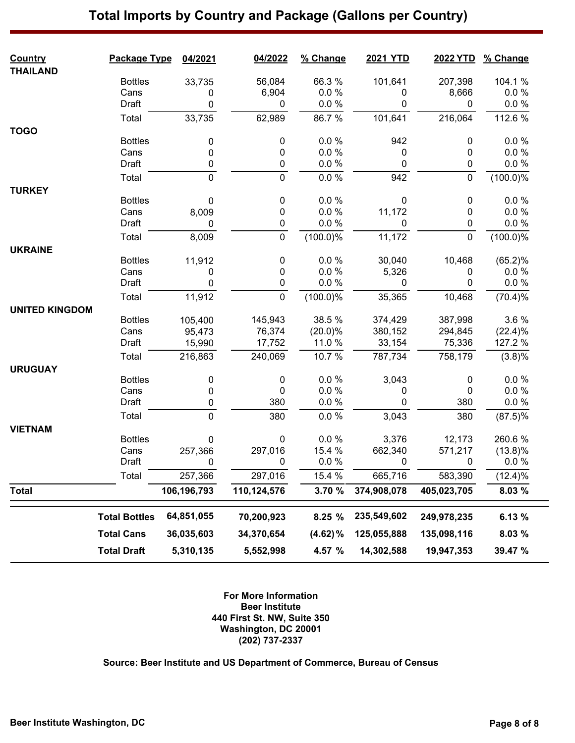| <b>Country</b>        | Package Type         | 04/2021        | 04/2022        | % Change             | <b>2021 YTD</b>   | 2022 YTD       | % Change           |
|-----------------------|----------------------|----------------|----------------|----------------------|-------------------|----------------|--------------------|
| <b>THAILAND</b>       | <b>Bottles</b>       | 33,735         | 56,084         | 66.3%                | 101,641           | 207,398        | 104.1 %            |
|                       | Cans                 | 0              | 6,904          | $0.0 \%$             | 0                 | 8,666          | 0.0 %              |
|                       | Draft                | 0              | $\mathbf 0$    | 0.0 %                | 0                 | 0              | 0.0 %              |
|                       | Total                | 33,735         | 62,989         | 86.7%                | 101,641           | 216,064        | 112.6 %            |
| <b>TOGO</b>           |                      |                |                |                      |                   |                |                    |
|                       | <b>Bottles</b>       | 0              | 0              | 0.0%                 | 942               | 0              | 0.0%               |
|                       | Cans                 | 0              | 0              | $0.0 \%$             | 0                 | 0              | 0.0%               |
|                       | Draft                | 0              | $\pmb{0}$      | 0.0 %                | 0                 | 0              | 0.0 %              |
|                       | Total                | $\pmb{0}$      | $\pmb{0}$      | 0.0 %                | 942               | $\pmb{0}$      | $(100.0)\%$        |
|                       |                      |                |                |                      |                   |                |                    |
| <b>TURKEY</b>         | <b>Bottles</b>       | 0              | $\pmb{0}$      | 0.0 %                | 0                 | 0              | 0.0%               |
|                       | Cans                 | 8,009          | 0              | 0.0%                 | 11,172            | 0              | 0.0%               |
|                       | Draft                | 0              | 0              | $0.0 \%$             | 0                 | 0              | 0.0 %              |
|                       |                      |                | $\mathbf 0$    |                      |                   | $\mathbf 0$    |                    |
|                       | Total                | 8,009          |                | $(100.0)\%$          | 11,172            |                | $(100.0)\%$        |
| <b>UKRAINE</b>        | <b>Bottles</b>       | 11,912         | 0              | 0.0%                 | 30,040            | 10,468         | (65.2)%            |
|                       | Cans                 | 0              | 0              | 0.0%                 | 5,326             | 0              | 0.0%               |
|                       | Draft                | 0              | 0              | 0.0 %                | 0                 | 0              | 0.0 %              |
|                       |                      |                |                |                      |                   |                |                    |
|                       | Total                | 11,912         | $\mathbf 0$    | (100.0)%             | 35,365            | 10,468         | (70.4)%            |
| <b>UNITED KINGDOM</b> |                      |                |                |                      |                   |                |                    |
|                       | <b>Bottles</b>       | 105,400        | 145,943        | 38.5 %               | 374,429           | 387,998        | 3.6%               |
|                       | Cans<br>Draft        | 95,473         | 76,374         | $(20.0)\%$<br>11.0 % | 380,152<br>33,154 | 294,845        | (22.4)%<br>127.2 % |
|                       |                      | 15,990         | 17,752         |                      |                   | 75,336         |                    |
|                       | Total                | 216,863        | 240,069        | 10.7%                | 787,734           | 758,179        | (3.8)%             |
| <b>URUGUAY</b>        |                      |                |                |                      |                   |                |                    |
|                       | <b>Bottles</b>       | 0              | 0              | 0.0 %                | 3,043             | 0              | 0.0%               |
|                       | Cans                 | 0              | 0              | $0.0 \%$             | 0                 | 0              | 0.0%               |
|                       | Draft                | 0              | 380            | 0.0 %                | 0                 | 380            | 0.0 %              |
|                       | Total                | $\mathbf 0$    | 380            | 0.0%                 | 3,043             | 380            | $(87.5)\%$         |
| <b>VIETNAM</b>        |                      |                |                |                      |                   |                |                    |
|                       | <b>Bottles</b>       | 0              | 0              | $0.0 \%$             | 3,376             | 12,173         | 260.6%             |
|                       | Cans                 | 257,366        | 297,016        | 15.4 %               | 662,340           | 571,217        | $(13.8)\%$         |
|                       | Draft                | $\overline{0}$ | $\overline{0}$ | $0.0 \%$             | $\Omega$          | $\overline{0}$ | 0.0 %              |
|                       | Total                | 257,366        | 297,016        | 15.4 %               | 665,716           | 583,390        | (12.4)%            |
| <b>Total</b>          |                      | 106,196,793    | 110,124,576    | 3.70 %               | 374,908,078       | 405,023,705    | 8.03 %             |
|                       | <b>Total Bottles</b> | 64,851,055     | 70,200,923     | 8.25 %               | 235,549,602       | 249,978,235    | 6.13 %             |
|                       | <b>Total Cans</b>    | 36,035,603     | 34,370,654     | $(4.62)\%$           | 125,055,888       | 135,098,116    | 8.03 %             |
|                       | <b>Total Draft</b>   | 5,310,135      | 5,552,998      | 4.57 %               | 14,302,588        | 19,947,353     | 39.47 %            |

**For More Information Beer Institute 440 First St. NW, Suite 350 Washington, DC 20001 (202) 737-2337**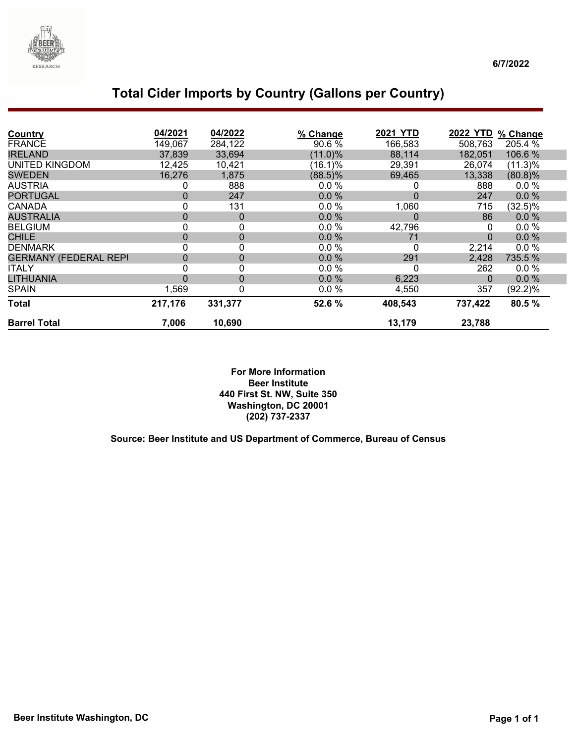

### **Total Cider Imports by Country (Gallons per Country)**

| <b>Country</b>               | 04/2021  | 04/2022 | % Change   | <b>2021 YTD</b>  | <b>2022 YTD</b> | % Change   |
|------------------------------|----------|---------|------------|------------------|-----------------|------------|
| <b>FRANCE</b>                | 149,067  | 284,122 | 90.6%      | 166,583          | 508,763         | 205.4 %    |
| <b>IRELAND</b>               | 37,839   | 33,694  | (11.0)%    | 88,114           | 182,051         | 106.6 %    |
| UNITED KINGDOM               | 12,425   | 10,421  | $(16.1)\%$ | 29,391           | 26,074          | (11.3)%    |
| <b>SWEDEN</b>                | 16,276   | 1,875   | $(88.5)\%$ | 69,465           | 13,338          | $(80.8)\%$ |
| <b>AUSTRIA</b>               | 0        | 888     | 0.0%       | 0                | 888             | 0.0%       |
| <b>PORTUGAL</b>              | 0        | 247     | 0.0%       | $\boldsymbol{0}$ | 247             | 0.0%       |
| <b>CANADA</b>                | 0        | 131     | 0.0%       | 1,060            | 715             | $(32.5)\%$ |
| <b>AUSTRALIA</b>             | 0        | 0       | 0.0%       | $\mathbf 0$      | 86              | 0.0%       |
| <b>BELGIUM</b>               | 0        | 0       | 0.0%       | 42,796           | 0               | 0.0%       |
| <b>CHILE</b>                 | 0        | 0       | 0.0%       | 71               | $\mathbf 0$     | 0.0%       |
| <b>DENMARK</b>               | 0        | 0       | 0.0%       | 0                | 2,214           | 0.0%       |
| <b>GERMANY (FEDERAL REPI</b> | 0        | 0       | 0.0%       | 291              | 2,428           | 735.5 %    |
| <b>ITALY</b>                 | 0        | 0       | 0.0%       | 0                | 262             | 0.0%       |
| LITHUANIA                    | $\Omega$ | 0       | $0.0\%$    | 6,223            | 0               | 0.0%       |
| <b>SPAIN</b>                 | 1,569    | 0       | $0.0 \%$   | 4,550            | 357             | (92.2)%    |
| <b>Total</b>                 | 217,176  | 331,377 | 52.6 %     | 408,543          | 737,422         | 80.5%      |
| <b>Barrel Total</b>          | 7,006    | 10,690  |            | 13,179           | 23,788          |            |

**For More Information Beer Institute 440 First St. NW, Suite 350 Washington, DC 20001 (202) 737-2337**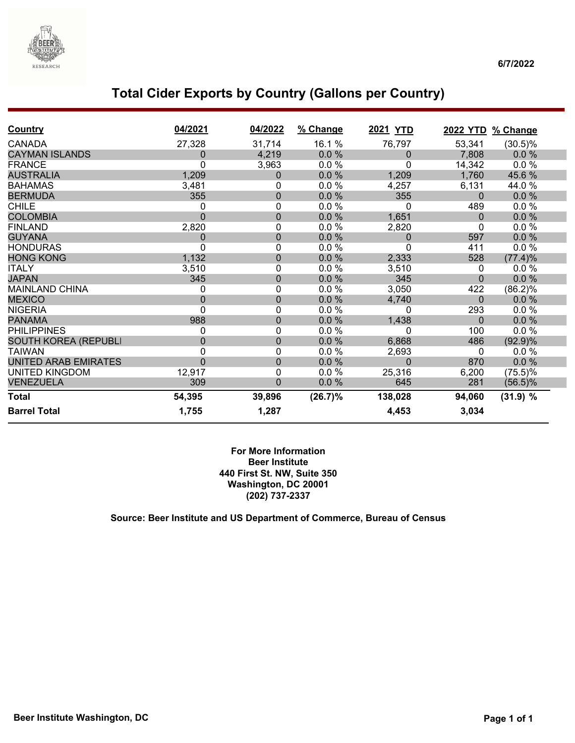

### **Total Cider Exports by Country (Gallons per Country)**

| <b>Country</b>              | 04/2021 | 04/2022        | % Change | 2021 YTD    |              | 2022 YTD % Change |  |
|-----------------------------|---------|----------------|----------|-------------|--------------|-------------------|--|
| <b>CANADA</b>               | 27,328  | 31,714         | 16.1 %   | 76,797      | 53,341       | $(30.5)\%$        |  |
| <b>CAYMAN ISLANDS</b>       | 0       | 4,219          | $0.0 \%$ | 0           | 7,808        | 0.0%              |  |
| <b>FRANCE</b>               | 0       | 3,963          | 0.0%     | 0           | 14,342       | 0.0%              |  |
| <b>AUSTRALIA</b>            | 1,209   | $\pmb{0}$      | 0.0%     | 1,209       | 1,760        | 45.6%             |  |
| <b>BAHAMAS</b>              | 3,481   | 0              | 0.0%     | 4,257       | 6,131        | 44.0%             |  |
| <b>BERMUDA</b>              | 355     | $\pmb{0}$      | 0.0%     | 355         | $\mathbf 0$  | 0.0%              |  |
| <b>CHILE</b>                | 0       | $\mathbf 0$    | 0.0%     | $\Omega$    | 489          | 0.0%              |  |
| <b>COLOMBIA</b>             | 0       | $\mathbf 0$    | 0.0%     | 1,651       | $\Omega$     | 0.0%              |  |
| <b>FINLAND</b>              | 2,820   | 0              | 0.0%     | 2,820       | 0            | 0.0%              |  |
| <b>GUYANA</b>               | 0       | $\mathbf 0$    | 0.0%     | 0           | 597          | 0.0%              |  |
| <b>HONDURAS</b>             | 0       | 0              | 0.0%     | 0           | 411          | 0.0%              |  |
| <b>HONG KONG</b>            | 1,132   | $\mathbf 0$    | 0.0%     | 2,333       | 528          | (77.4)%           |  |
| <b>ITALY</b>                | 3,510   | 0              | 0.0%     | 3,510       | 0            | 0.0 %             |  |
| <b>JAPAN</b>                | 345     | $\pmb{0}$      | 0.0%     | 345         | $\Omega$     | 0.0%              |  |
| <b>MAINLAND CHINA</b>       | 0       | 0              | 0.0%     | 3,050       | 422          | (86.2)%           |  |
| <b>MEXICO</b>               | 0       | $\pmb{0}$      | 0.0%     | 4,740       | $\Omega$     | 0.0%              |  |
| <b>NIGERIA</b>              | 0       | 0              | 0.0%     | $\mathbf 0$ | 293          | $0.0 \%$          |  |
| <b>PANAMA</b>               | 988     | $\pmb{0}$      | 0.0%     | 1,438       | $\mathbf{0}$ | 0.0%              |  |
| <b>PHILIPPINES</b>          | 0       | 0              | 0.0%     | $\Omega$    | 100          | 0.0%              |  |
| <b>SOUTH KOREA (REPUBLI</b> | 0       | $\mathbf 0$    | 0.0%     | 6,868       | 486          | (92.9)%           |  |
| <b>TAIWAN</b>               | 0       | $\mathbf 0$    | 0.0%     | 2,693       | 0            | 0.0%              |  |
| <b>UNITED ARAB EMIRATES</b> | 0       | $\pmb{0}$      | 0.0%     | $\Omega$    | 870          | 0.0%              |  |
| <b>UNITED KINGDOM</b>       | 12,917  | 0              | 0.0%     | 25,316      | 6,200        | $(75.5)\%$        |  |
| <b>VENEZUELA</b>            | 309     | $\overline{0}$ | 0.0%     | 645         | 281          | $(56.5)\%$        |  |
| <b>Total</b>                | 54,395  | 39,896         | (26.7)%  | 138,028     | 94,060       | (31.9) %          |  |
| <b>Barrel Total</b>         | 1,755   | 1,287          |          | 4,453       | 3,034        |                   |  |

**For More Information Beer Institute 440 First St. NW, Suite 350 Washington, DC 20001 (202) 737-2337**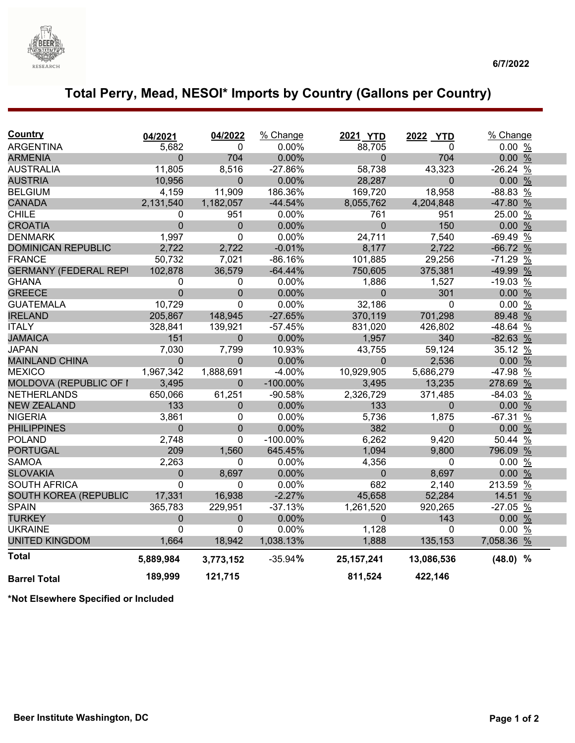

# **Total Perry, Mead, NESOI\* Imports by Country (Gallons per Country)**

| <b>Country</b>               | 04/2021        | 04/2022        | % Change    | 2021 YTD       | 2022 YTD     | % Change   |               |
|------------------------------|----------------|----------------|-------------|----------------|--------------|------------|---------------|
| <b>ARGENTINA</b>             | 5,682          | 0              | 0.00%       | 88,705         | 0            | 0.00%      |               |
| <b>ARMENIA</b>               | 0              | 704            | 0.00%       | $\overline{0}$ | 704          | 0.00%      |               |
| <b>AUSTRALIA</b>             | 11,805         | 8,516          | $-27.86%$   | 58,738         | 43,323       | $-26.24%$  |               |
| <b>AUSTRIA</b>               | 10,956         | $\overline{0}$ | 0.00%       | 28,287         | $\Omega$     | 0.00%      |               |
| <b>BELGIUM</b>               | 4,159          | 11,909         | 186.36%     | 169,720        | 18,958       | -88.83 %   |               |
| <b>CANADA</b>                | 2,131,540      | 1,182,057      | $-44.54%$   | 8,055,762      | 4,204,848    | -47.80 %   |               |
| <b>CHILE</b>                 | 0              | 951            | 0.00%       | 761            | 951          | 25.00      | $\frac{0}{0}$ |
| <b>CROATIA</b>               | 0              | 0              | 0.00%       | $\mathbf 0$    | 150          | 0.00%      |               |
| <b>DENMARK</b>               | 1,997          | 0              | 0.00%       | 24,711         | 7,540        | $-69.49%$  |               |
| <b>DOMINICAN REPUBLIC</b>    | 2,722          | 2,722          | $-0.01%$    | 8,177          | 2,722        | $-66.72%$  |               |
| <b>FRANCE</b>                | 50,732         | 7,021          | $-86.16%$   | 101,885        | 29,256       | $-71.29%$  |               |
| <b>GERMANY (FEDERAL REPI</b> | 102,878        | 36,579         | $-64.44%$   | 750,605        | 375,381      | -49.99 %   |               |
| <b>GHANA</b>                 | 0              | 0              | 0.00%       | 1,886          | 1,527        | $-19.03$   | $\%$          |
| <b>GREECE</b>                | $\overline{0}$ | 0              | 0.00%       | $\Omega$       | 301          | 0.00%      |               |
| <b>GUATEMALA</b>             | 10,729         | 0              | 0.00%       | 32,186         | 0            | 0.00%      |               |
| <b>IRELAND</b>               | 205,867        | 148,945        | $-27.65%$   | 370,119        | 701,298      | 89.48 %    |               |
| <b>ITALY</b>                 | 328,841        | 139,921        | $-57.45%$   | 831,020        | 426,802      | $-48.64%$  |               |
| <b>JAMAICA</b>               | 151            | $\mathbf 0$    | 0.00%       | 1,957          | 340          | $-82.63%$  |               |
| <b>JAPAN</b>                 | 7,030          | 7,799          | 10.93%      | 43,755         | 59,124       | 35.12 %    |               |
| <b>MAINLAND CHINA</b>        | 0              | $\mathbf 0$    | 0.00%       | $\mathbf{0}$   | 2,536        | 0.00%      |               |
| <b>MEXICO</b>                | 1,967,342      | 1,888,691      | $-4.00%$    | 10,929,905     | 5,686,279    | -47.98 %   |               |
| MOLDOVA (REPUBLIC OF I       | 3,495          | 0              | $-100.00\%$ | 3,495          | 13,235       | 278.69 %   |               |
| <b>NETHERLANDS</b>           | 650,066        | 61,251         | $-90.58%$   | 2,326,729      | 371,485      | $-84.03%$  |               |
| <b>NEW ZEALAND</b>           | 133            | 0              | 0.00%       | 133            | $\Omega$     | 0.00%      |               |
| <b>NIGERIA</b>               | 3,861          | 0              | 0.00%       | 5,736          | 1,875        | $-67.31$   | $\frac{0}{0}$ |
| <b>PHILIPPINES</b>           | $\overline{0}$ | $\Omega$       | 0.00%       | 382            | $\Omega$     | 0.00%      |               |
| <b>POLAND</b>                | 2,748          | 0              | $-100.00\%$ | 6,262          | 9,420        | 50.44 %    |               |
| <b>PORTUGAL</b>              | 209            | 1,560          | 645.45%     | 1,094          | 9,800        | 796.09 %   |               |
| <b>SAMOA</b>                 | 2,263          | 0              | 0.00%       | 4,356          | $\mathbf 0$  | 0.00%      |               |
| <b>SLOVAKIA</b>              | $\mathbf 0$    | 8,697          | 0.00%       | $\mathbf{0}$   | 8,697        | 0.00%      |               |
| <b>SOUTH AFRICA</b>          | 0              | 0              | 0.00%       | 682            | 2,140        | 213.59 %   |               |
| <b>SOUTH KOREA (REPUBLIC</b> | 17,331         | 16,938         | $-2.27%$    | 45,658         | 52,284       | 14.51 %    |               |
| <b>SPAIN</b>                 | 365,783        | 229,951        | $-37.13%$   | 1,261,520      | 920,265      | $-27.05$ % |               |
| <b>TURKEY</b>                | 0              | 0              | 0.00%       | $\mathbf 0$    | 143          | 0.00%      |               |
| <b>UKRAINE</b>               | 0              | 0              | 0.00%       | 1,128          | $\mathbf{0}$ | 0.00%      |               |
| <b>UNITED KINGDOM</b>        | 1,664          | 18,942         | 1,038.13%   | 1,888          | 135,153      | 7,058.36 % |               |
| <b>Total</b>                 | 5,889,984      | 3,773,152      | $-35.94%$   | 25, 157, 241   | 13,086,536   | $(48.0)$ % |               |
| <b>Barrel Total</b>          | 189,999        | 121,715        |             | 811,524        | 422,146      |            |               |

**\*Not Elsewhere Specified or Included**